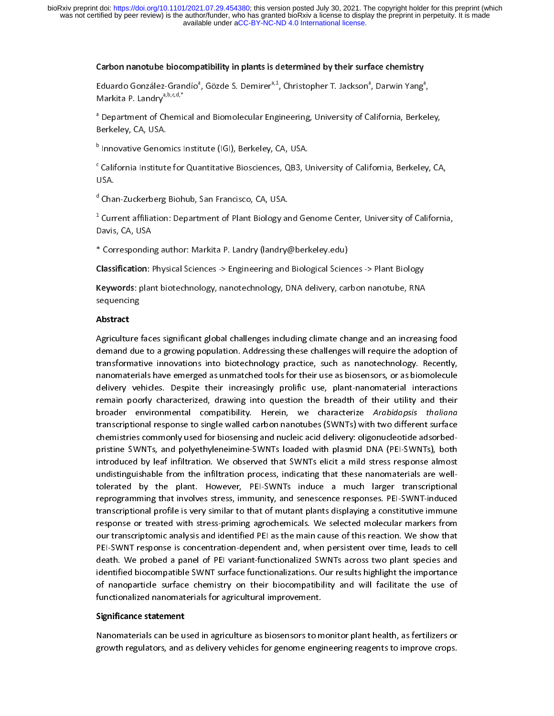## Carbon nanotube biocompatibility in plants is determined by their surface chemistry

Eduardo González-Grandio°, Gözde S. Demirer<sup>a,</sup>ª, Christopher T. Jackson°, Darwin Yang°<br>Markita P. Landry<sup>a,b,c,d,\*</sup><br>ª Department of Chemical and Biomolecular Engineering, University of California, Berke

 $\frac{1}{2}$ Markita P. Landry<sup>a, p.</sup>c.d,<br><sup>a</sup> Department of Chemid<br>Berkeley, CA, USA. a Department of Chemical and Biomolecular Engineering, University of California, Berkeley, CA, USA.<br>Biomolecular Engineering, University of California, Berkeley, CA, USA.

Berkeley, CA, USA. b

Innovative Genomics Institute for Quantitative Biosciences, QB3, U<br>ISA. Ĭ California Institute for Quantitative Biosciences, QB3, Biosciences, Districtive, Berkeley, CA,<br>JSA.<br>Chan-Zuckerberg Biohub, San Francisco, CA, USA.

<sup>d</sup> Cha<br><sup>1</sup> Curr d

Chan-Zuckerberg Biohum, San Francisco, 20, 2018.<br>Current affiliation: Department of Plant Biology ar<br>Davis, CA, USA. î, Current affiliation: Department of Plant Biology and Genome Center, University of California,<br>Corresponding author: Markita P. Landry (landry@berkeley.edu)

ر<br>Sorrespondin \*<br>Classification: I

Classification: Physical Sciences -> Engineering and Biological Sciences -> Plant Biology

Keywords: plant biotechnology, nanotechnology, DNA delivery, carbon nanotube, RNA<br>sequencing Keywords: plant biotechnology, nanotechnology, DNA delivery, carbon nanotube, RNA<br>sequencing<br>Abstract

## Abstract

Agriculture faces significant global challenges including climate change and an increasing food Agriculture faces significant global challenges including summer analyses including to the<br>demand due to a growing population. Addressing these challenges will require the adoption of<br>transformative innovations into biotec demand and the production. The mand due to a growing population. The addressing transformative innovations into biotechnology practice, such as nanotechnology. Recently, nanomaterials have emerged as unmatched tools for th the innomaterials have emerged as unmatched tools for their use as biosensors, or as biomolecule<br>delivery vehicles. Despite their increasingly prolific use, plant-nanomaterial interactions<br>remain poorly characterized, draw delivery vehicles. Despite their increasingly prolific use, plant-nanomaterial interactions<br>remain poorly characterized, drawing into question the breadth of their utility and their<br>broader environmental compatibility. Her delivery vehicles. Despite their increasingly premissingly prime interactions interactions<br>remain poorly characterized, drawing into question the breadth of their utility and their<br>broader environmental compatibility. Here remain poorly characterized, analysis question the breadth of their analysis thaliana<br>broader environmental compatibility. Herein, we characterize *Arabidopsis thaliana*<br>transcriptional response to single walled carbon nan transcriptional response to single walled carbon nanotubes (SWNTs) with two different surface<br>chemistries commonly used for biosensing and nucleic acid delivery: oligonucleotide adsorbedpristine SWNTs, and polyethyleneimine-SWNTs loaded with plasmid DNA (PEI-SWNTs), both chemistries common and nucleic and nucleic and nucleic acid delivery.<br>
indistinguishable from the infiltration process, indicating that these nanomaterials are well-<br>
tolerated by the plant. However, PEI-SWNTs induce a muc introduced by leaf infiltration. We observed that SWNTs elicit a mild stress response almost<br>undistinguishable from the infiltration process, indicating that these nanomaterials are well-<br>tolerated by the plant. However, P transcriptional profile is very similar to that of mutant plants displaying a constitutive immune reprogramming that involves stress, immunity, and senescence responses. PEI-SWNT-induced<br>transcriptional profile is very similar to that of mutant plants displaying a constitutive immune<br>response or treated with stress-pri transcriptional profile is very similar to that of mutant plants displaying a constitutive immune<br>response or treated with stress-priming agrochemicals. We selected molecular markers from<br>our transcriptomic analysis and id response or treated with stress-priming agrochemicals. We selected molecular markers from<br>our transcriptomic analysis and identified PEI as the main cause of this reaction. We show that<br>PEI-SWNT response is concentration-d our transcriptomic analysis and identified PEI as the main cause of this reaction. We show that<br>PEI-SWNT response is concentration-dependent and, when persistent over time, leads to cell<br>death. We probed a panel of PEI var our transcriptomic analysis and identified PEI are included to this reaction over time, leads to cell<br>death. We probed a panel of PEI variant-functionalized SWNTs across two plant species and<br>identified biocompatible SWNT death. We probed a panel of PEI variant-functionalized SWNTs across two plant species and identified biocompatible SWNT surface functionalizations. Our results highlight the importance of nanoparticle surface chemistry on their biocompatibility and will facilitate the use of functionalized nanomaterials for agricultural improvement.

# Significance statement

Nanomaterials can be used in agriculture as biosensors to monitor plant health, as fertilizers or growth regulators, and as delivery vehicles for genome engineering reagents to improve crops. growth regulators, and as delivery vehicles for genome engineering reagents to improve crops.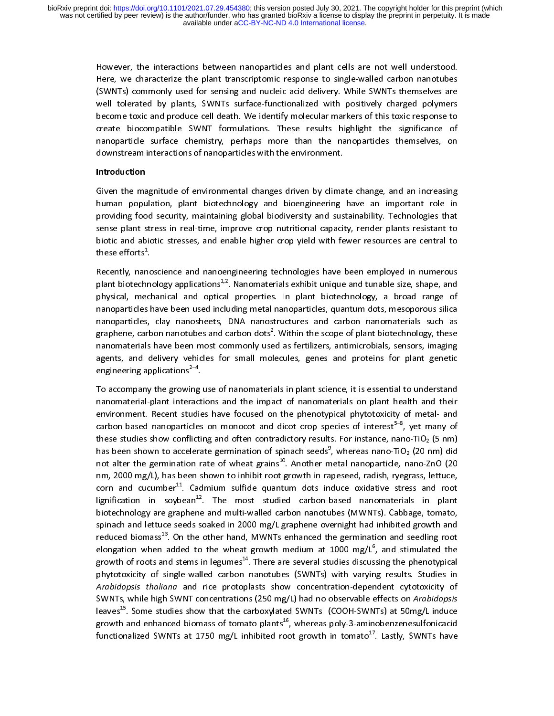Here, we characterize the plant transcriptomic response to single-walled carbon nanotubes<br>(SWNTs) commonly used for sensing and nucleic acid delivery. While SWNTs themselves are<br>well tolerated by plants, SWNTs surface-func Here, we characterize the plant transcriptomic response to single-make carbon intervalses<br>(SWNTs) commonly used for sensing and nucleic acid delivery. While SWNTs themselves are<br>well tolerated by plants, SWNTs surface-func well tolerated by plants, SWNTs surface-functionalized with positively charged polymers<br>become toxic and produce cell death. We identify molecular markers of this toxic response to<br>create biocompatible SWNT formulations. T become toxic and produce cell death. We identify molecular markers of this toxic response to create biocompatible SWNT formulations. These results highlight the significance of nanoparticle surface chemistry, perhaps more than the nanoparticles themselves, on downstream interactions of nanoparticles with the environment.

## Introduction

Given the magnitude of environmental changes driven by climate change, and an increasing human population, plant biotechnology and bioengineering have an important role in<br>providing food security, maintaining global biodiversity and sustainability. Technologies that providing food security, maintaining global biodiversity and sustainability. Technologies that<br>sense plant stress in real-time, improve crop nutritional capacity, render plants resistant to<br>biotic and abiotic stresses, and providing food security of the sense plant stress in real-time, improve crop nutritional capacity, render plants resistant to biotic and abiotic stresses, and enable higher crop yield with fewer resources are central to th biotic and abiotic stresses, and enable higher crop yield with fewer resources are central to these efforts<sup>1</sup>.

Recently, nanoscience and nanoengineering technologies have been employed in numerous these ettorts<br>Recently, nan<br>plant biotech .<br>|<br>n Plant biotechnology applications<sup>1,2</sup>. Nanomaterials exhibit unique and tunable size, shape, and<br>physical, mechanical and optical properties. In plant biotechnology, a broad range of<br>nanoparticles have been used including physical, mechanical and optical properties. In plant biotechnology, a broad range of nanoparticles have been used including metal nanoparticles, quantum dots, mesoporous silica nanoparticles, clay nanosheets, DNA nanostru physical, mechanical and optical properties. In plant biotechnology, a broad range of<br>nanoparticles, clay nanosheets, DNA nanostructures and carbon nanomaterials such as<br>graphene, carbon nanotubes and carbon dots<sup>2</sup>. Withi nanoparticles, clay nanosheets, DNA nanostructures and carbon nanomaterials such as<br>graphene, carbon nanotubes and carbon dots<sup>2</sup>. Within the scope of plant biotechnology, these<br>nanomaterials have been most commonly used a graphene, carbon nanotubes and carbon dots<sup>2</sup>. Within the scope of plant biotechnology, these<br>nanomaterials have been most commonly used as fertilizers, antimicrobials, sensors, imaging<br>agents, and delivery vehicles for sm graphene, carbon nanotubes and carbon dots<sup>e</sup>. Within the scope of plant biotechnology, these<br>nanomaterials have been most commonly used as fertilizers, antimicrobials, sensors, imaging<br>agents, and delivery vehicles for sm nanomaterials have been most commonly used as fertilizers, and monographical process.<br>agents, and delivery vehicles for small molecules, genes and proteins for plant genetic<br>engineering applications<sup>2-4</sup>.

To accompany the growing use of nanomaterials in plant science, it is essential to understand nanomaterial-plant interactions and the impact of nanomaterials on plant health and their engineering applications<sup>2–4</sup>.<br>To accompany the growing use of nanomaterials in plant science, it is essential to understand<br>nanomaterial-plant interactions and the impact of nanomaterials on plant health and their<br>enviro .<br>.<br>.t nanomaterial-plant interactions and the impact of nanomaterials on plant health and their<br>environment. Recent studies have focused on the phenotypical phytotoxicity of metal- and<br>carbon-based nanoparticles on monocot and d nanomaterial-plant interactions and the impact of nanomaterial on plant include and<br>earbon-based nanoparticles on monocot and dicot crop species of interest<sup>5-8</sup>, yet many of<br>these studies show conflicting and often contra carbon-based nanoparticles on monocot and dicot crop species of interest<sup>5-8</sup>, yet many of<br>these studies show conflicting and often contradictory results. For instance, nano-TiO<sub>2</sub> (5 nm)<br>has been shown to accelerate germ carbon-based nanoparticles on monocot and dicot crop species of interest<sup>5–8</sup>, yet many of<br>these studies show conflicting and often contradictory results. For instance, nano-TiO<sub>2</sub> (5 nm)<br>has been shown to accelerate germ has been shown to accelerate germination of spinach seeds<sup>9</sup>, whereas nano-TiO<sub>2</sub> (20 nm) did<br>not alter the germination rate of wheat grains<sup>10</sup>. Another metal nanoparticle, nano-ZnO (20<br>nm, 2000 mg/L), has been shown to not alter the germination rate of wheat grains<sup>20</sup>. Another metal nanoparticle, nano-ZnO (20<br>nm, 2000 mg/L), has been shown to inhibit root growth in rapeseed, radish, ryegrass, lettuce,<br>corn and cucumber<sup>11</sup>. Cadmium sulf nm, 2000 mg/2, manuta manuta reception in the intervalse corn and cucumber<sup>11</sup>. Cadmium sulfide quantum dots induce oxidative stress and root lignification in soybean<sup>12</sup>. The most studied carbon-based nanomaterials in pla lignification in soybean<sup>12</sup>. The most studied carbon-based nanomaterials in plant biotechnology are graphene and multi-walled carbon nanotubes (MWNTs). Cabbage, tomato, spinach and lettuce seeds soaked in 2000 mg/L graph lignification in soybean<sup>22</sup>. The most studied carbon-based nanomaterials in plant<br>biotechnology are graphene and multi-walled carbon-nanotubes (MWNTs). Cabbage, tomato,<br>spinach and lettuce seeds soaked in 2000 mg/L graphe spinach and lettuce seeds soaked in 2000 mg/L graphene overnight had inhibited growth and<br>reduced biomass<sup>13</sup>. On the other hand, MWNTs enhanced the germination and seedling root<br>elongation when added to the wheat growth induced biomass<sup>13</sup>. On the other hand, MWNTs enhanced the germination and seedling root<br>elongation when added to the wheat growth medium at 1000 mg/L<sup>6</sup>, and stimulated the<br>growth of roots and stems in legumes<sup>14</sup>. There elongation when added to the wheat growth medium at 1000 mg/ $L^6$ , and stimulated the growth of roots and stems in legumes<sup>14</sup>. There are several studies discussing the phenotypical phytotoxicity of single-walled carbon n elongation when added to the wheat growth medium at 1000 mg/L<sup>o</sup>, and stimulated the growth of roots and stems in legumes<sup>14</sup>. There are several studies discussing the phenotypical phytotoxicity of single-walled carbon nan Arabidopsis thaliana and rice protoplasts show concentration-dependent cytotoxicity of<br>SWNTs, while high SWNT concentrations (250 mg/L) had no observable effects on Arabidopsis phytotomally of single-material carbon nanotation (STMT), and they go contract carbon of an analyzing and and rice protoplasts show concentration-dependent cytotoxicity of SWNTs, while high SWNT concentrations (250 mg/L) h Arabidopsis thaliana and rice protoplasts show concentration-dependent cytotoxicity of<br>SWNTs, while high SWNT concentrations (250 mg/L) had no observable effects on *Arabidopsis*<br>leaves<sup>15</sup>. Some studies show that the carb SWWTS, WHILE High SWWT concentrations (250 Hig/L) had no observable effects on Arabidopsis<br>leaves<sup>15</sup>. Some studies show that the carboxylated SWNTs (COOH-SWNTs) at 50mg/L induce<br>growth and enhanced biomass of tomato plant growth and enhanced biomass of tomato plants<sup>16</sup>, whereas poly-3-aminobenzenesulfonicacid growth and enhanced biomass of tomato plants<sup>2</sup>, whereas poly-3-aminobenzenesulfonicacid<br>functionalized SWNTs at 1750 mg/L inhibited root growth in tomato<sup>17</sup>. Lastly, SWNTs have functionalized SWNTs at 1750 mg/L inhibited root growth in tomato17. Lastly, SWNTs have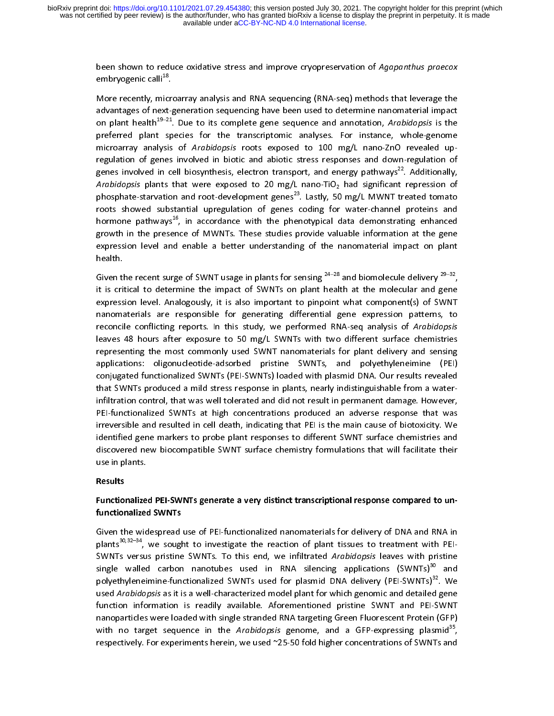been shown to reduce oxidative stress and improve cryopreservation of Agapanthus praecox<br>embryogenic calli<sup>18</sup>.<br>More recently, microarray analysis and RNA sequencing (RNA-seq) methods that leverage the

advantages of next-generation sequencing have been used to determine nanomaterial impact More recently, microarray analysis and RNA sequencing (RNA-seq) methods indicates that leverage the<br>advantages of next-generation sequencing have been used to determine nanomaterial impact<br>on plant health<sup>19–21</sup>. Due to it on plant health<sup>19–21</sup>. Due to its complete gene sequence and annotation, *Arabidopsis* is the preferred plant species for the transcriptomic analyses. For instance, whole-genome microarray analysis of *Arabidopsis* roots preferred plant species for the transcriptomic analysis for instance, microarray analysis of *Arabidopsis* roots exposed to 100 mg/L nano-ZnO revealed up-<br>regulation of genes involved in biotic and abiotic stress responses microarray analysis of Arabidopsis roots exposed to 100 mg/L nano-ZnO revealed up-<br>regulation of genes involved in biotic and abiotic stress responses and down-regulation of<br>genes involved in cell biosynthesis, electron tr genes involved in cell biosynthesis, electron transport, and energy pathways<sup>22</sup>. Additionally, Arabidopsis plants that were exposed to 20 mg/L nano-TiO<sub>2</sub> had significant repression of phosphate-starvation and root-develo Arabidopsis plants that were exposed to 20 mg/L nano-Ho<sub>2</sub> had significant repression of<br>phosphate-starvation and root-development genes<sup>23</sup>. Lastly, 50 mg/L MWNT treated tomato<br>roots showed substantial upregulation of gen phosphate-starvation and root-development genes<sup>25</sup>. Lastly, 50 mg/L MWNT treated tomato<br>roots showed substantial upregulation of genes coding for water-channel proteins and<br>hormone pathways<sup>16</sup>, in accordance with the phe hormone pathways<sup>16</sup>, in accordance with the phenotypical data demonstrating enhanced<br>growth in the presence of MWNTs. These studies provide valuable information at the gene<br>expression level and enable a better understandi growth in the presence of MWNTs. These studies provide valuable information at the gene expression level and enable a better understanding of the nanomaterial impact on plant health. expression level and enable a better understanding of the nanomaterial impact on plant

health.<br>Given the recent surge of SWNT usage in plants for sensing <sup>24–28</sup> and biomolecule delivery <sup>29–32</sup>, health.<br>Given tl<br>it is crit Given the recent surge of SWNT usage in plants for sensing  $^{24-28}$  and biomolecule delivery  $^{29-32}$ , it is critical to determine the impact of SWNTs on plant health at the molecular and gene expression level. Analogou it is critical to determine the impact of SWNTs on plant health at the molecular and gene expression level. Analogously, it is also important to pinpoint what component(s) of SWNT nanomaterials are responsible for generati nanomaterials are responsible for generating differential gene expression patterns, to<br>reconcile conflicting reports. In this study, we performed RNA-seq analysis of *Arabidopsis*<br>leaves 48 hours after exposure to 50 mg/L reconcile conflicting reports. In this study, we performed RNA-seq analysis of *Arabidopsis*<br>leaves 48 hours after exposure to 50 mg/L SWNTs with two different surface chemistries<br>representing the most commonly used SWNT n reconcile conflicting reports. In this study, we performed RNA-seq analysis of Arabidopsis<br>leaves 48 hours after exposure to 50 mg/L SWNTs with two different surface chemistries<br>representing the most commonly used SWNT nan representing the most commonly used SWNT nanomaterials for plant delivery and sensing<br>applications: oligonucleotide-adsorbed pristine SWNTs, and polyethyleneimine (PEI)<br>conjugated functionalized SWNTs (PEI-SWNTs) loaded wi representing the most commonly used states inherentially in plant delivery and sensing<br>applications: oligonucleotide-adsorbed pristine SWNTs, and polyethyleneimine (PEI)<br>conjugated functionalized SWNTs (PEI-SWNTs) loaded w conjugated functionalized SWNTs (PEI-SWNTs) loaded with plasmid DNA. Our results revealed<br>that SWNTs produced a mild stress response in plants, nearly indistinguishable from a water-<br>infiltration control, that was well tol conjugated functionalized SWMTs (PEI-SWMT) is the functional plasmid DNA. On the results revealed that SWNTs produced a mild stress response in plants, nearly indistinguishable from a water-<br>infiltration control, that was irreversible and resulted in cell death, indicating that PEI is the main cause of biotoxicity. We PEI-functionalized SWNTs at high concentrations produced an adverse response that was<br>irreversible and resulted in cell death, indicating that PEI is the main cause of biotoxicity. We<br>identified gene markers to probe plant irreversible and resulted in cell death, indicating that PEI is the main cause of biotoxicity. We<br>identified gene markers to probe plant responses to different SWNT surface chemistries and<br>discovered new biocompatible SWNT identified gene markers to probe plant responses to different SWNT surface chemistries and<br>discovered new biocompatible SWNT surface chemistry formulations that will facilitate their<br>use in plants. discovered new biocompatible SWNT surface chemistry formulations that will facilitate their use in plants. discovered new biocompatible SWNT surface chemistry formulations that will facilitate their<br>use in plants.<br>Results

# Results

# use in plants.<br>Results<br>Functionalize Functionalized PEI-SWNTs generate a very distinct transcriptional response compared to unfunctionalized SWNTs

plants<sup>30,32–34</sup>, we sought to investigate the reaction of plant tissues to treatment with PEI-<br>SWNTs versus pristine SWNTs. To this end, we infiltrated *Arabidopsis* leaves with pristine<br>single walled carbon nanotubes use SWNTS VERSUS pristine SWNTS. To this end, we inhitrated Arabidopsis leaves with pristine<br>single walled carbon nanotubes used in RNA silencing applications (SWNTs)<sup>30</sup> and<br>polyethyleneimine-functionalized SWNTs used for pla polyethyleneimine-functionalized SWNTs used for plasmid DNA delivery (PEI-SWNTs)<sup>32</sup>. We<br>used *Arabidopsis* as it is a well-characterized model plant for which genomic and detailed gene<br>function information is readily avai used *Arabidopsis* as it is a well-characterized model plant for which genomic and detailed gene<br>function information is readily available. Aforementioned pristine SWNT and PEI-SWNT<br>nanoparticles were loaded with single st dised Arabidopsis as it is a wen-characterized moder plant for which genomic and detailed gene<br>function information is readily available. Aforementioned pristine SWNT and PEI-SWNT<br>nanoparticles were loaded with single stra nanoparticles were loaded with single stranded RNA targeting Green Fluorescent Protein (GFP)<br>with no target sequence in the *Arabidopsis* genome, and a GFP-expressing plasmid<sup>35</sup>,<br>respectively. For experiments herein, we u nanoparticle and characteristic manufacture in the *Arabidopsis* genome, and a GFP-expressing plasmid<sup>35</sup>, respectively. For experiments herein, we used ~25-50 fold higher concentrations of SWNTs and respectively. For experiments herein, we used ~25-50 fold higher concentrations of SWNTs and respectively. For experiments herein, we used ~25-50 fold higher concentrations of SWNTs and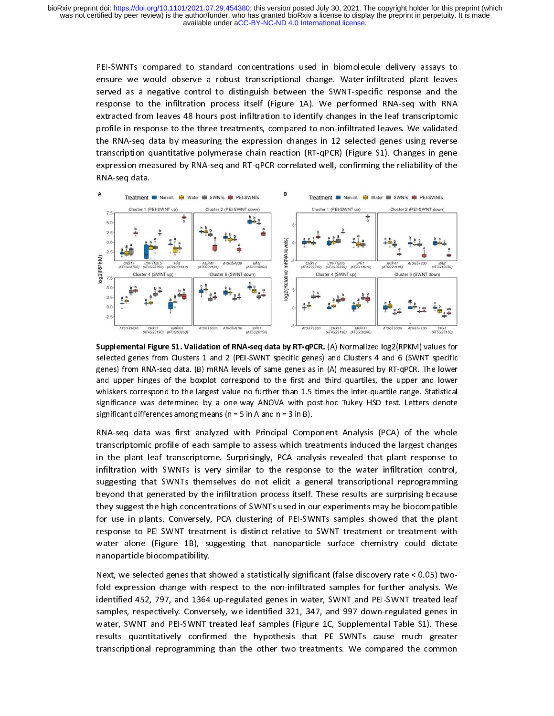> PEI-SWNTs compared to standard concentrations used in biomolecule delivery assays to<br>ensure we would observe a robust transcriptional change. Water-infiltrated plant leaves<br>served as a negative control to distinguish betwe enved as a negative control to distinguish between the SWNT-specific response and the<br>The sensure to the infiltration process itself (Figure 1A). We performed RNA-seq with RNA served as a negative control to distinguish between the SWMT-permanelperment increases the infiltration process itself (Figure 1A). We performed RNA-seq with RNA extracted from leaves 48 hours post infiltration to identify response to the infiltration process itself (Figure 2A). We performed that to a minimized in<br>extracted from leaves 48 hours post infiltration to identify changes in the leaf transcriptomic<br>profile in response to the three profile in response to the three treatments, compared to non-infiltrated leaves. We validated<br>the RNA-seq data by measuring the expression changes in 12 selected genes using reverse the RNA-seq data by measuring the expression changes in 12 selected genes using reverse. transcription quantitative polymerase chain reaction (RT-qPCR) (Figure S1). Changes in gene expression measured by RNA-seq and RT-qPCR correlated well, confirming the reliability of the RNA-seq data. expression measured by RNA-seq and RT-qPCR correlated well, community the reliability of the RNA-seq data.



Supplemental Figure S1. Validation of RNA-seq data by RT-qPCR. (A) Normalized log2(RPKN) values for<br>selected genes from Clusters 1 and 2 (PEI-SWNT specific genes) and Clusters 4 and 6 (SWNT specific<br>genes) from RNA-seq dat genes) from RNA-seq data. (B) mRNA levels of same genes as in (A) measured by RT-qPCR. The lower<br>and upper hinges of the boxplot correspond to the first and third quartiles, the upper and lower<br>whiskers correspond to the l

and upper hinges of the boxplot correspond to the first and third quartiles, the upper and lower whiskers correspond to the largest value no further than 1.5 times the inter-quartile range. Statistical significance was de whiskers correspond to the largest value no further than 1.5 times the inter-quartile range. Statistical significance was determined by a one-way ANOVA with post-hoc Tukey HSD test. Letters denote significant differences a significance was determined by a one-way ANOVA with post-hoc Tukey HSD test. Letters denote<br>significant differences among means (n = 5 in A and n = 3 in B).<br>RNA-seq data was first analyzed with Principal Component Analysis significant differences among means (n = 5 in A and n = 3 in B).<br>
RNA-seq data was first analyzed with Principal Component Analysis (PCA) of the whole<br>
transcriptomic profile of each sample to assess which treatments induc RNA-seq data was first analyzed with Principal Comp<br>transcriptomic profile of each sample to assess which tre<br>in the plant leaf transcriptome. Surprisingly, PCA analy<br>infiltration with SWNTs is very similar to the respons<br> ranscriptomic profile of each sample to assess which treatments induced the largest changes<br>in the plant leaf transcriptome. Surprisingly, PCA analysis revealed that plant response to in the plant leaf transcriptome. Surprisingly, PCA analysis revealed that plant response to<br>infiltration with SWNTs is very similar to the response to the water infiltration control, infiltration with SWNTs is very similar to the response to the water infiltration control, suggesting that SWNTs themselves do not elicit a general transcriptional reprogramming<br>beyond that generated by the infiltration process itself. These results are surprising because suggesting that generated by the infiltration process itself. These results are surprising because<br>they suggest the high concentrations of SWNTs used in our experiments may be biocompatible beyond that generated by the infiltration process itself. These results are surprising a count-<br>they suggest the high concentrations of SWNTs used in our experiments may be biocompatible<br>for use in plants. Conversely, PCA for use in plants. Conversely, PCA clustering of PEI-SWNTs samples showed that the plant response to PEI-SWNT treatment is distinct relative to SWNT treatment or treatment with water alone (Figure 1B), suggesting that nanoparticle surface chemistry could dictate nanoparticle biocompatibility.

Next, we selected genes that showed a statistically significant (false discovery rate < 0.05) two-<br>fold expression change with respect to the non-infiltrated samples for further analysis. We identified 452, 797, and 1364 up-regulated genes in water, SWNT and PEI-SWNT treated leaf fold expression change with respect to the non-infiltrated samples for random analysis. We<br>identified 452, 797, and 1364 up-regulated genes in water, SWNT and PEI-SWNT treated leaf<br>samples, respectively. Conversely, we ide samples, respectively. Conversely, we identified 321, 347, and 997 down-regulated genes in<br>water, SWNT and PEI-SWNT treated leaf samples (Figure 1C, Supplemental Table S1). These water, SWNT and PEI-SWNT treated leaf samples (Figure 1C, Supplemental Table S1). These results quantitatively confirmed the hypothesis that PEI-SWNTs cause much greater transcriptional reprogramming than the other two treatments. We compared the common transcriptional reprogramming than the other two treatments. We compared the common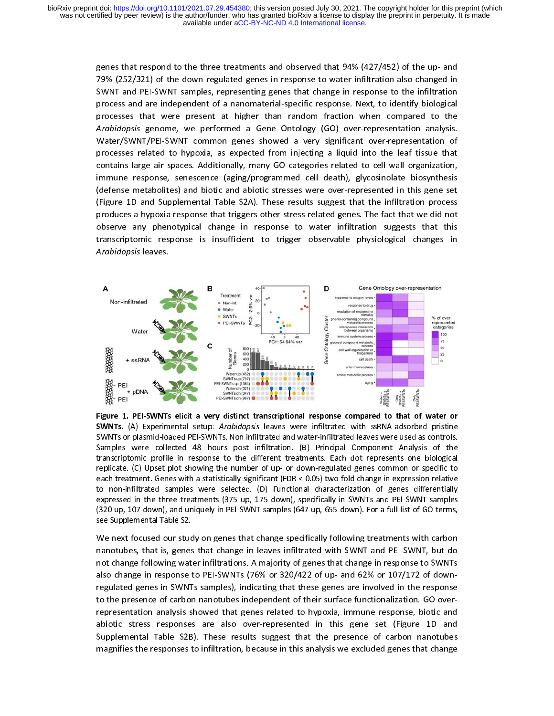genes that respond to the three treatments and observed that 94% (427/452) of the up- and<br>79% (252/321) of the down-regulated genes in response to water infiltration also changed in<br>SWNT and PEI-SWNT samples, representing y<br>20 SWNT and PEI-SWNT samples, representing genes that change in response to the infiltration<br>20 Senarch of a nanomaterial-specific response. Next, to identify biological SWIT and PEI-SWIT samples, representing genes that change in response to the infinite increases<br>processes that were present at higher than random fraction when compared to the processes that were present at higher than random fraction when compared to the Arabidopsis genome, we performed a Gene Ontology (GO) over-representation analysis. Water/SWNT/PEI-SWNT common genes showed a very significant over-representation of processes related to hypoxia, as expected from injecting a liquid into the leaf tissue that<br>contains large air spaces. Additionally, many GO categories related to cell wall organization, processes are to the controlly many GO categories related to cell wall organization,<br>immune response, senescence (aging/programmed cell death), glycosinolate biosynthesis contains large an epercentrallisticity, many GO categories related to categories relation,<br>immune response, senescence (aging/programmed cell death), glycosinolate biosynthesis<br>(defense metabolites) and biotic and abiotic (defense metabolites) and biotic and abiotic stresses were over-represented in this gene set (Figure 1D and Supplemental Table S2A). These results suggest that the infiltration process<br>produces a hypoxia response that triggers other stress-related genes. The fact that we did not observe any phenotypical change in response to water infiltration suggests that this produces a hyponduces principle maying the controlled and trial triggers of the fact that this<br>observe any phenotypical change in response to water infiltration suggests that this<br>transcriptomic response is insufficient to opserve and the construction of the transcriptomic constrained in<br>Arabidopsis leaves transcriptomic response is insufficient to trigger observable physiological changes in<br>Arabidopsis leaves.



Figure 1. PEI-SWNTs elicit a very distinct transcriptional response compared to that of water or<br>SWNTs. (A) Experimental setup: Arabidopsis leaves were infiltrated with ssRNA-adsorbed pristine SWNTs or plasmid-loaded PEI-SWNTs. Non infiltrated and water-infiltrated with ssawive-ausonous pursuase were sued as controls.<br>Samples were collected 48 hours post infiltration. (B) Principal Component Analysis of the tran Samples were collected 48 hours post infiltration. (B) Principal Component Analysis of the transcriptomic profile in response to the different treatments. Each dot represents one biological replicate. (C) Upset plot showin transcriptomic profile in response to the different treatments. Each dot represents one biological<br>replicate. (C) Upset plot showing the number of up- or down-regulated genes common or specific to<br>each treatment. Genes wit replicate. (C) Upset plot showing the number of up- or down-regulated genes common or specific to each treatment. Genes with a statistically significant (FDR < 0.05) two-fold change in expression relative to non-infiltrate each treatment. Genes with a statistically significant (FDR < 0.05) two-fold change in expression relative<br>to non-infiltrated samples were selected. (D) Functional characterization of genes differentially<br>expressed in the

to non-infiltrated samples were selected. (D) Functional characterization of genes differentially<br>expressed in the three treatments (375 up, 175 down), specifically in SWNTs and PEI-SWNT samples<br>(320 up, 107 down), and uni expressed in the three treatments (375 up, 175 down), specifically in SWNTs and PEI-SWNT samples<br>(320 up, 107 down), and uniquely in PEI-SWNT samples (647 up, 655 down). For a full list of GO terms,<br>see Supplemental Table (320 up, 107 down), and uniquely in PEI-SWNT samples (647 up, 655 down). For a full list of GO terms,<br>see Supplemental Table S2.<br>We next focused our study on genes that change specifically following treatments with carbon<br> (320 upplemental Table S2.<br>
We next focused our study on genes that change specifically following treatments with carbon<br>
nanotubes, that is, genes that change in leaves infiltrated with SWNT and PEI-SWNT, but do<br>
not chan We next focused our students<br>manotubes, that is, genes<br>not change following wat<br>also change in response<br>regulated genes in SWNT<br>to the presence of carbor<br>representation analysis s<br>abiotic stress responses nanotubes, that is, genes that change in leaves infiltrated with SWNT and PEI-SWNT, but do<br>not change following water infiltrations. A majority of genes that change in response to SWNTs not change following water infiltrations. A majority of genes that change in response to SWNTs<br>also change in response to PEI-SWNTs (76% or 320/422 of up- and 62% or 107/172 of downalso change in response to PEI-SWNTs (76% or 320/422 of up- and 62% or 107/172 of down-<br>regulated genes in SWNTs samples), indicating that these genes are involved in the response to the presence of carbon nanotubes independent of their surface functionalization. GO overrepresentation analysis showed that genes related to hypoxia, immune response, biotic and abiotic stress responses are also over-represented in this gene set (Figure 1D and representation analysis showed that genes related to hyponaly immune response, and and<br>abiotic stress responses are also over-represented in this gene set (Figure 1D and<br>Supplemental Table S2B). These results suggest that abiotic stress responses are also stress represented in this gene set (Figure 1D and<br>Supplemental Table S2B). These results suggest that the presence of carbon nanotubes<br>magnifies the responses to infiltration, because in magnifies the responses to infiltration, because in this analysis we excluded genes that change magnifies the responses to infiltration, because in this analysis we exclude genes that change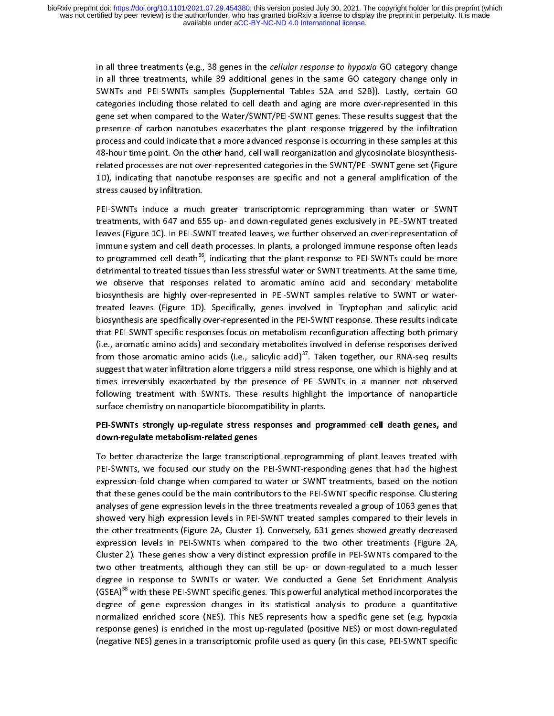in all three treatments (e.g., 38 genes in the cellular response to hypoxia GO category change<br>in all three treatments, while 39 additional genes in the same GO category change only in<br>SWNTs and PEI-SWNTs samples (Suppleme in all three treatments, while 39 additional genes in the same Server same Go, samily 1 and SMNTs and PEI-SWNTs samples (Supplemental Tables S2A and S2B)). Lastly, certain GO categories including those related to cell deat Categories including those related to cell death and aging are more over-represented in this<br>gene set when compared to the Water/SWNT/PEI-SWNT genes. These results suggest that the<br>presence of carbon nanotubes exacerbates gene set when compared to the Water/SWNT/PEI-SWNT genes. These results suggest that the presence of carbon nanotubes exacerbates the plant response triggered by the infiltration process and could indicate that a more advan presence of carbon nanotubes exacerbates the plant response triggered by the infiltration<br>process and could indicate that a more advanced response is occurring in these samples at this<br>48-hour time point. On the other hand process and could indicate that a more advanced response is occurring in these samples at this<br>48-hour time point. On the other hand, cell wall reorganization and glycosinolate biosynthesis-<br>related processes are not overprocess and countermany and content and could indicate the content of the section of 48-hour time point. On the other hand, cell wall reorganization and glycosinolate biosynthesis-<br>related processes are not over-represente stress caused by infiltration. 1D), indicating that nanotube responses are specific and not a general amplification of the tress caused by infiltration.<br>1991, PEI-SWNTs induce a much greater transcriptomic reprogramming than water or SWNT

)<br>PEI-SWNTs induce a much<br>treatments, with 647 and 65 treatments, with 647 and 655 up- and down-regulated genes exclusively in PEI-SWNT treated<br>leaves (Figure 1C). In PEI-SWNT treated leaves, we further observed an over-representation of<br>immune system and cell death processes leaves (Figure 1C). In PEI-SWNT treated leaves, we further observed an over-representation of<br>immune system and cell death processes. In plants, a prolonged immune response often leads<br>to programmed cell death<sup>36</sup>, indicat leaves (Figure 12). In Person in Person Leaves, the cannot represent and controlled and immune system and cell death processes. In plants, a prolonged immune response often leads<br>to programmed cell death<sup>36</sup>, indicating th to programmed cell death<sup>36</sup>, indicating that the plant response to PEI-SWNTs could be more<br>detrimental to treated tissues than less stressful water or SWNT treatments. At the same time,<br>we observe that responses related t detrimental to treated tissues than less stressful water or SWNT treatments. At the same time, we observe that responses related to aromatic amino acid and secondary metabolite biosynthesis are highly over-represented in P we observe that responses related to aromatic amino acid and secondary metabolite treated leaves (Figure 1D). Specifically, genes involved in Tryptophan and salicylic acid<br>biosynthesis are specifically over-represented in the PEI-SWNT response. These results indicate that PEI-SWNT specific responses focus on metabolism reconfiguration affecting both primary  $(i.e.,$  aromatic amino acids) and secondary metabolites involved in defense responses derived that PEI-SWNT specific responses focus on metabolism reconfiguration affecting both primary<br>(i.e., aromatic amino acids) and secondary metabolites involved in defense responses derived<br>from those aromatic amino acids (i.e. (i.e., aromatic amino acids) and secondary metabolites involved in defense responses derived<br>from those aromatic amino acids (i.e., salicylic acid)<sup>37</sup>. Taken together, our RNA-seq results<br>suggest that water infiltration a (i.e., aromatic amino acids (i.e., salicylic acid)<sup>37</sup>. Taken together, our RNA-seq results<br>suggest that water infiltration alone triggers a mild stress response, one which is highly and at<br>times irreversibly exacerbated b suggest that water infiltration alone triggers a mild stress response, one which is highly and at times irreversibly exacerbated by the presence of PEI-SWNTs in a manner not observed following treatment with SWNTs. These results highlight the importance of nanoparticle surface chemistry on nanoparticle biocompatibility following treatment with SWNTs. These results highlight the importance of nanoparticle

# surface chemistry on nanoparticle biocompatibility in plants.<br>PEI-SWNTs strongly up-regulate stress responses and programmed cell death genes, and surface chemistry on nanoparticle biocompatition, in plants.<br>PEI-SWNTs strongly up-regulate stress responses and pro<br>down-regulate metabolism-related genes PEI-SWNTs strongly up-regulate stress responses and programmed cell death genes, and

down-regulate metabolism-related genes<br>To better characterize the large transcriptional reprogramming of plant leaves treated with<br>PEI-SWNTs, we focused our study on the PEI-SWNT-responding genes that had the highest<br>expre PEI-SWNTs, we focused our study on the PEI-SWNT-responding genes that had the highest expression-fold change when compared to water or SWNT treatments, based on the notion<br>that these genes could be the main contributors to the PEI-SWNT specific response. Clustering<br>analyses of gene expression levels in the that these genes could be the main contributors to the PEI-SWNT specific response. Clustering<br>analyses of gene expression levels in the three treatments revealed a group of 1063 genes that<br>showed very high expression level analyses of gene expression levels in the three treatments revealed a group of 1063 genes that<br>showed very high expression levels in PEI-SWNT treated samples compared to their levels in<br>the other treatments (Figure 2A, Clu analyses of gene expression levels in PEI-SWNT treated samples compared to their levels in<br>the other treatments (Figure 2A, Cluster 1). Conversely, 631 genes showed greatly decreased<br>expression levels in PEI-SWNTs when com the other treatments (Figure 2A, Cluster 1). Conversely, 631 genes showed greatly decreased expression levels in PEI-SWNTs when compared to the two other treatments (Figure 2A, Cluster 2). These genes show a very distinct expression levels in PEI-SWNTs when compared to the two other treatments (Figure 2A,<br>Cluster 2). These genes show a very distinct expression profile in PEI-SWNTs compared to the<br>two other treatments, although they can stil expression levels in PEI-SWITE and the two compared to the Cluster 2). These genes show a very distinct expression profile in PEI-SWNTs compared to the two other treatments, although they can still be up- or down-regulated Cluster 2). These genes show a very member expression profile in PEI-Cluster expression to<br>two other treatments, although they can still be up- or down-regulated to a much lesser<br>degree in response to SWNTs or water. We co degree in response to SWNTs or water. We conducted a Gene Set Enrichment Analysis<br>(GSEA)<sup>38</sup> with these PEI-SWNT specific genes. This powerful analytical method incorporates the<br>degree of gene expression changes in its sta degree in response to SWNT specific genes. This powerful analytical method incorporates the<br>degree of gene expression changes in its statistical analysis to produce a quantitative<br>normalized enriched score (NES). This NES (GSEA)<sup>38</sup> with these PEI-SWNT specific genes. This powerful analytical method incorporates the<br>degree of gene expression changes in its statistical analysis to produce a quantitative<br>normalized enriched score (NES). This degree of an interpretation correlation correlation correlation correlation correlated procession changes in t<br>desponse genes) is enriched in the most up-regulated (positive NES) or most down-regulated<br>(negative NES) genes normalized enriched score (NES). This NES represents how a specific gene set (e.g. hypothesizes) is enriched in the most up-regulated (positive NES) or most down-regulated (negative NES) genes in a transcriptomic profile u response genes) is entitled in the most up-regulated (positive NES) or most down-regulated (negative NES) genes in a transcriptomic profile used as query (in this case, PEI-SWNT specific (negative NES) genes in a transcriptomic profile used as query (in this case, PEI-SWNT specific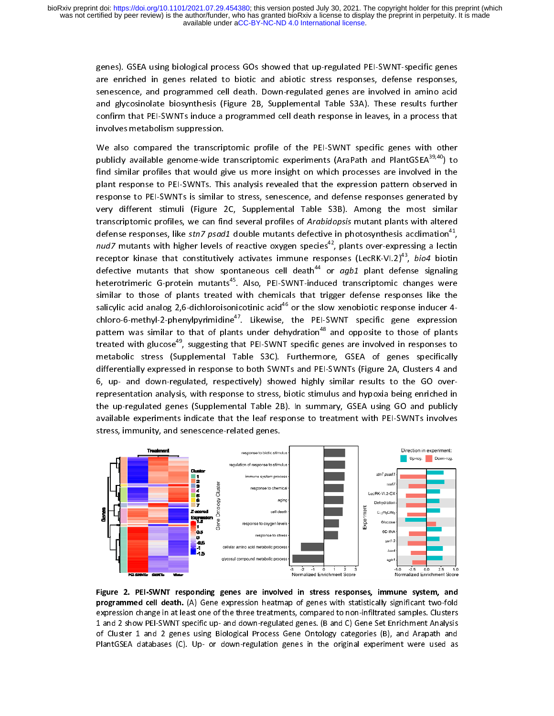> genes). GSEA using biological process GOs showed that up-regulated PEI-SWNT-specific genes are enriched in genes related to biotic and abiotic stress responses, defense responses, senescence, and programmed cell death. Dow enescence, and programmed cell death. Down-regulated genes are involved in amino acid<br>and glycosinolate biosynthesis (Figure 2B, Supplemental Table S3A). These results further senescence, and programmed cell death is convergenced genes are involved in amino and<br>and glycosinolate biosynthesis (Figure 2B, Supplemental Table S3A). These results further<br>confirm that PEI-SWNTs induce a programmed cel confirm that PEI-SWNTs induce a programmed cell death response in leaves, in a process that involves metabolism suppression.

> We also compared the transcriptomic profile of the PEI-SWNT specific genes with other publicly available genome-wide transcriptomic experiments (AraPath and PlantGSEA $^{39,40}$ ) to find similar profiles that would give us more insight on which processes are involved in the plant response to PEI-SWNTs. This analysis revealed that the expression pattern observed in response to PEI-SWNTs is similar to stress, senescence, and defense responses generated by plant response to PEI-SWNTs is similar to stress, senescence, and defense responses generated by<br>response to PEI-SWNTs is similar to stress, senescence, and defense responses generated by<br>very different stimuli (Figure 2C, response to PEI-SWITS is similar to PISO, Chromon, and defense responses generated by<br>Very different stimuli (Figure 2C, Supplemental Table S3B). Among the most similar<br>transcriptomic profiles, we can find several profiles transcriptomic profiles, we can find several profiles of Arabidopsis mutant plants with altered<br>defense responses, like stn7 psad1 double mutants defective in photosynthesis acclimation<sup>41</sup>, transcriptomic profiles, we can find several profiles of Arabidopsis mutant plants with altered<br>defense responses, like *stn7 psad1* double mutants defective in photosynthesis acclimation<sup>41</sup>,<br>*nud7* mutants with higher l defense responses, like *stn7 psad1* double mutants defective in photosynthesis acclimation<sup>-+</sup>,<br>*nud7* mutants with higher levels of reactive oxygen species<sup>42</sup>, plants over-expressing a lectin<br>receptor kinase that consti *nud7* mutants with higher levels of reactive oxygen species<sup>-2</sup>, plants over-expressing a lectin<br>receptor kinase that constitutively activates immune responses (LecRK-VI.2)<sup>43</sup>, *bio4* biotin<br>defective mutants that show s receptor kinase that constitutively activates immune responses (LecRK-VI.2)~, *bio4* biotin<br>defective mutants that show spontaneous cell death<sup>44</sup> or *agb1* plant defense signaling<br>heterotrimeric G-protein mutants<sup>45</sup>. Als heterotrimeric G-protein mutants<sup>45</sup>. Also, PEI-SWNT-induced transcriptomic changes were similar to those of plants treated with chemicals that trigger defense responses like the<br>salicylic acid analog 2,6-dichloroisonicotinic acid<sup>46</sup> or the slow xenobiotic response inducer 4salicylic acid analog 2,6-dichloroisonicotinic acid<sup>46</sup> or the slow xenobiotic response inducer 4-<br>chloro-6-methyl-2-phenylpyrimidine<sup>47</sup>. Likewise, the PEI-SWNT specific gene expression<br>pattern was similar to that of pla chloro-6-methyl-2-phenylpyrimidine<sup>47</sup>. Likewise, the PEI-SWNT specific gene expression<br>pattern was similar to that of plants under dehydration<sup>48</sup> and opposite to those of plants<br>treated with glucose<sup>49</sup>, suggesting that pattern was similar to that of plants under dehydration<sup>-o</sup> and opposite to those of plants<br>treated with glucose<sup>49</sup>, suggesting that PEI-SWNT specific genes are involved in responses to<br>metabolic stress (Supplemental Tabl metabolic stress (Supplemental Table S3C). Furthermore, GSEA of genes specifically differentially expressed in response to both SWNTs and PEI-SWNTs (Figure 2A, Clusters 4 and 6, up- and down-regulated, respectively) showed highly similar results to the GO over-<br>representation analysis, with response to stress, biotic stimulus and hypoxia being enriched in the up-regulated genes (Supplemental Table 2B). In summary, GSEA using GO and publicly representation analysis of the stress of the up-regulated process.<br>The up-regulated genes (Supplemental Table 2B). In summary, GSEA using GO and publicly<br>available experiments indicate that the leaf response to treatment w the up-regulation genes (Supplemental Table 22). In summary, GSEA using GO and public,<br>available experiments indicate that the leaf response to treatment with PEI-SWNTs involves<br>stress, immunity, and senescence-related gen stress, immunity, and senescence-related genes.



Figure 2. PEI-SWNT responding genes are involved in stress responses, immune system, and<br>programmed cell death. (A) Gene expression heatmap of genes with statistically significant two-fold programmed centraction chaps in a tast one of the three treatmap of genes with statistical samples. Clusters expression change in at least one of the three treatments, compared to non-infiltrated samples. Clusters 1 and 2 1 and 2 show PEI-SWNT specific up- and down-regulated genes. (B and C) Gene Set Enrichment Analysis<br>of Cluster 1 and 2 genes using Biological Process Gene Ontology categories (B), and Arapath and<br>PlantGSEA databases (C). U 1 and 2 genes using Biological Process Gene Ontology categories (B), and Arapath and PlantGSEA databases (C). Up- or down-regulation genes in the original experiment were used as PlantGSEA databases (C). Up- or down-regula PlantGSEA databases (C). Up- or down-regulation genes in the original experiment were used as<br>
Separath and Arapath and Arapath and Arapath and Arapath and Arapath and Arapath and Arapath and Arapath and Arapath and Arapat PlantGSEA databases (C). Up- or down-regulation genes in the original experiment were used as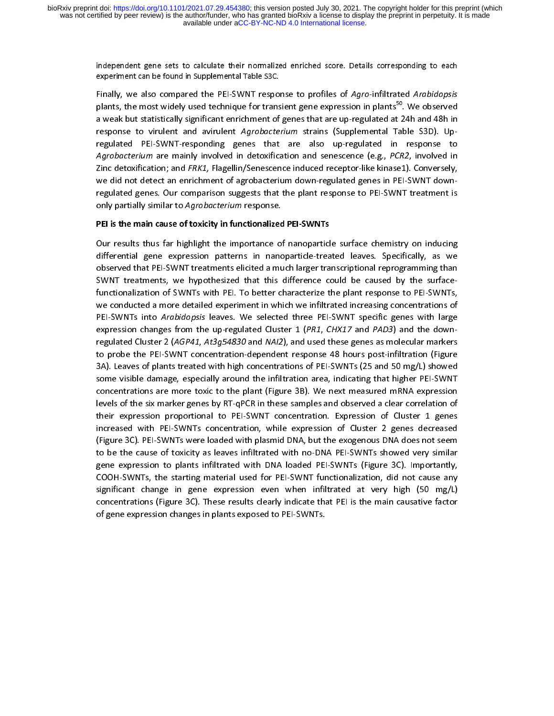independent gene sets to calculate their normalized enriched score. Details corresponding to each experiment can be found in Supplemental Table S3C.

Finally, we also compared the PEI-SWNT response to profiles of Agro-infiltrated Arabidopsis plants, the most widely used technique for transient gene expression in plants<sup>50</sup>. We observed a weak but statistically signific a weak but statistically significant enrichment of genes that are up-regulated at 24h and 48h in a weak but statistically significant environment of genes that are up-regulated Table S3D). Up-<br>regulated PEI-SWNT-responding genes that are also up-regulated in response to<br>Agrobacterium are mainly involved in detoxificat regulated PEI-SWNT-responding genes that are also up-regulated in response to<br>Agrobacterium are mainly involved in detoxification and senescence (e.g., *PCR2*, involved in<br>Zinc detoxification; and *FRK1*, Flagellin/Senesce Agrobacterium are mainly involved in detoxification and senescence (e.g., PCR2, involved in Zinc detoxification; and FRK1, Flagellin/Senescence induced receptor-like kinase1). Conversely, Agrobacterium are mainly involved in detoxineation and senescence (e.g., Pen2, involved in<br>Zinc detoxification; and *FRK1*, Flagellin/Senescence induced receptor-like kinase1). Conversely,<br>we did not detect an enrichment o Zinc detoxincation; and FRK1, Flagellin; Senescence induced receptor-like kinase1). Conversely,<br>we did not detect an enrichment of agrobacterium down-regulated genes in PEI-SWNT down-<br>regulated genes. Our comparison sugges only partially similar to Agrobacterium response.<br>PEI is the main cause of toxicity in functionalized PEI-SWNTs

# we did not detect an enrichment of agrobacterium down-regulated genes in PEI-SWNT down-regulated genes in PEIonly partially similar to Agrobacterium response.<br>PEI is the main cause of toxicity in functionalized<br>Our results thus far highlight the importance of PEI is the main cause of toxicity in functionalized PEI-SWNTs

Our results thus far highlight the importance of nanoparticle surface chemistry on inducing differential gene expression patterns in nanoparticle-treated leaves. Specifically, as we observed that PEI-SWNT treatments elicit observed that PEI-SWNT treatments elicited a much larger transcriptional reprogramming than<br>SWNT treatments, we hypothesized that this difference could be caused by the surface-<br>functionalization of SWNTs with PEI. To bett SWNT treatments, we hypothesized that this difference could be caused by the surface-<br>functionalization of SWNTs with PEI. To better characterize the plant response to PEI-SWNTs,<br>we conducted a more detailed experiment in PEI-SWNTs into Arabidopsis leaves. We selected three PEI-SWNT specific genes with large we conducted a more detailed experiment in which we infiltrated increasing concentrations of<br>PEI-SWNTs into *Arabidopsis* leaves. We selected three PEI-SWNT specific genes with large<br>expression changes from the up-regulate PEI-SWNTs into *Arabidopsis* leaves. We selected three PEI-SWNT specific genes with large<br>expression changes from the up-regulated Cluster 1 (PR1, CHX17 and PAD3) and the down-<br>regulated Cluster 2 (AGP41, At3g54830 and NAI PEI-SWINTS filto Arabidopsis Teaves. We selected three PEI-SWINT specific genes with large<br>expression changes from the up-regulated Cluster 1 (*PR1, CHX17* and *PAD3*) and the down-<br>regulated Cluster 2 (*AGP41, At3g54830* expression changes from the up-regulated cluster 1 (PA1, CHX17 and PAD3) and the down-<br>regulated Cluster 2 (AGP41, At3g54830 and NAI2), and used these genes as molecular markers<br>3A). Leaves of plants treated with high conc to probe the PEI-SWNT concentration-dependent response 48 hours post-infiltration (Figure 3A). Leaves of plants treated with high concentrations of PEI-SWNTs (25 and 50 mg/L) showed some visible damage, especially around t 3A). Leaves of plants treated with high concentrations of PEI-SWNTs (25 and 50 mg/L) showed<br>some visible damage, especially around the infiltration area, indicating that higher PEI-SWNT<br>concentrations are more toxic to the 3A). Leaves of plants a succession some visible damage, especially around the infiltration area, indicating that higher PEI-SWNT concentrations are more toxic to the plant (Figure 3B). We next measured mRNA expression leve some visible damage visible damagement oncentrations are more toxic to the plant (Figure 3B). We next measured mRNA expression<br>levels of the six marker genes by RT-qPCR in these samples and observed a clear correlation of<br> concentrations are more towic to the plant (Figure 2B). We next measured minion expression<br>levels of the six marker genes by RT-qPCR in these samples and observed a clear correlation of<br>their expression proportional to PEI their expression proportional to PEI-SWNT concentration. Expression of Cluster 1 genes<br>increased with PEI-SWNTs concentration, while expression of Cluster 2 genes decreased<br>(Figure 3C). PEI-SWNTs were loaded with plasmid D increased with PEI-SWNTs concentration, while expression of Cluster 2 genes decreased<br>(Figure 3C). PEI-SWNTs were loaded with plasmid DNA, but the exogenous DNA does not seem<br>to be the cause of toxicity as leaves infiltrat increased with PEI-SWNTs were loaded with plasmid DNA, but the exogenous DNA does not seem<br>to be the cause of toxicity as leaves infiltrated with no-DNA PEI-SWNTs showed very similar<br>gene expression to plants infiltrated w (Figure 3C). PEI-STATE 2C). PEI-STATE 2CHE EXONOMIC 2CHE EXONOMIC DETERMINE SHOWED VERTIGET AS the cause of toxicity as leaves infiltrated with DNA loaded PEI-SWNTs (Figure 3C). Importantly, COOH-SWNTs, the starting materi gene expression to plants infiltrated with DNA loaded PEI-SWNTs (Figure 3C). Importantly,<br>COOH-SWNTs, the starting material used for PEI-SWNT functionalization, did not cause any<br>significant change in gene expression even gene expression to planting material used for PEI-SWNT functionalization, didnot cause any<br>significant change in gene expression even when infiltrated at very high (50 mg/L)<br>concentrations (Figure 3C). These results clearl Significant change in gene expression even when infiltrated at very high (50 mg/L)<br>concentrations (Figure 3C). These results clearly indicate that PEI is the main causative factor<br>of gene expression changes in plants expos significant change in gene expression change in general when infinite at very high (50 mg/L)<br>concentrations (Figure 3C). These results clearly indicate that PEI is the main causative factor<br>of gene expression changes in pl of gene expression changes in plants exposed to PEI-SWNTs. of gene expression changes in plants exposed to PEI-SWNTs.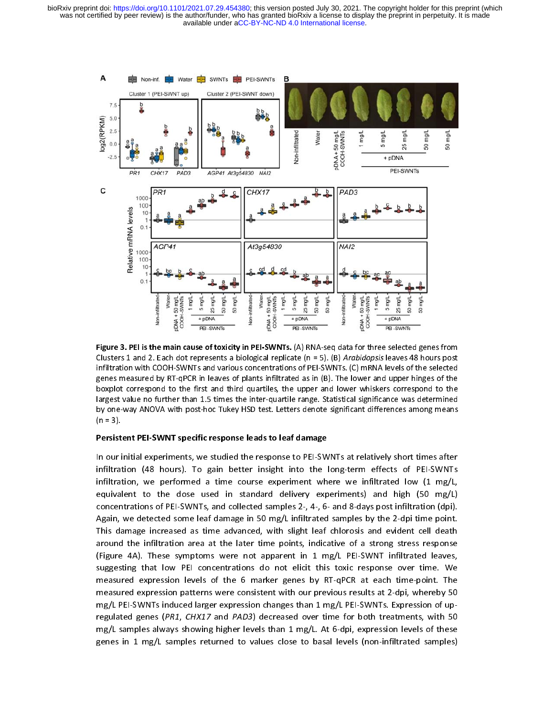

Figure 3. Persistent PEI-SWNT specific response leads to leaf damage<br>Clusters 1 and 2. Each dot represents a biological replicate (n = 5). (B) *Arabidopsis* leaves 48 hours post<br>infiltration with COOH-SWNTs and various con Einstitution with COOH-SWNTs and various concentrations of PEI-SWNTs. (C) mRNA levels of the selected<br>infiltration with COOH-SWNTs and various concentrations of PEI-SWNTs. (C) mRNA levels of the selected<br>genes measured by genes measured by RT-qPCR in leaves of plants infiltrated as in (B). The lower and upper hinges of the boxplot correspond to the first and third quartiles, the upper and lower whiskers correspond to the largest value no fu boxplot correspond to the first and third quartiles, the upper and lower whiskers correspond to the largest value no further than 1.5 times the inter-quartile range. Statistical significance was determined by one-way ANOVA

### Persistent PEI-SWNT specific response leads to leaf damage

boxplot correspond to the first and the first and the first and the first statistical significance was determined<br>by one-way ANOVA with post-hoc Tukey HSD test. Letters denote significant differences among means<br>(n = 3).<br> by one-way ANOVA with post-hoc Tukey HSD test. Letters denote significant differences among means<br>
(n = 3).<br> **Persistent PEI-SWNT specific response leads to leaf damage**<br>
In our initial experiments, we studied the response (n = 3).<br>
Persistent PEI-SWNT specific response leads to leaf damage<br>
In our initial experiments, we studied the response to PEI-SWNTs at relatively short times after<br>
infiltration (48 hours). To gain better insight into (n = 3).<br>Persist<br>In our l<br>infiltrat<br>equiva<br>equiva<br>Concen<br>Again, In our initial experiments, we studied the response to PEI-SWNTs at relatively short times after<br>
infiltration (48 hours). To gain better insight into the long-term effects of PEI-SWNTs infiltration, we performed a time course experiment where we infiltrated low (1 mg/L,<br>equivalent to the dose used in standard delivery experiments) and high (50 mg/L) equivalent to the dose used in standard delivery experiments) and high (50 mg/L)<br>concentrations of PEI-SWNTs, and collected samples 2-, 4-, 6- and 8-days post infiltration (dpi). equivalent to the dose used in standard delivery empericing, and high (50 mg/L)<br>concentrations of PEI-SWNTs, and collected samples 2-, 4-, 6- and 8-days post infiltration (dpi).<br>Again, we detected some leaf damage in 50 mg Again, we detected some leaf damage in 50 mg/L infiltrated samples by the 2-dpi time point. This damage increased as time advanced, with slight leaf chlorosis and evident cell death around the infiltration area at the later time points, indicative of a strong stress response (Figure 4A). These symptoms were not apparent in 1 mg/L PEI-SWNT infiltrated leaves, suggesting that low PEI concentrations do not elicit this toxic response over time. We<br>measured expression levels of the 6 marker genes by RT-qPCR at each time-point. The suggesting that low PEI concentrations do not extracted that the point. The<br>measured expression levels of the 6 marker genes by RT-qPCR at each time-point. The<br>measured expression patterns were consistent with our previous measured expression patterns were consistent with our previous results at 2-dpi, whereby 50<br>mg/L PEI-SWNTs induced larger expression changes than 1 mg/L PEI-SWNTs. Expression of upmg/L PEI-SWNTs induced larger expression changes than 1 mg/L PEI-SWNTs. Expression of up-<br>regulated genes (*PR1*, *CHX17* and *PAD3*) decreased over time for both treatments, with 50 mg/L samples always showing higher levels than 1 mg/L. At 6-dpi, expression levels of these regulated genes (PR1, CHX17 and PAD3) decreased over time for both treatments, with 50<br>mg/L samples always showing higher levels than 1 mg/L. At 6-dpi, expression levels of these<br>genes in 1 mg/L samples returned to values mg/complests all than 1 mg/L samples returned to values close to basal levels (non-infiltrated samples) genes in 2 mg/2 samples returned to value close to basil levels ( non-infiltrated samples).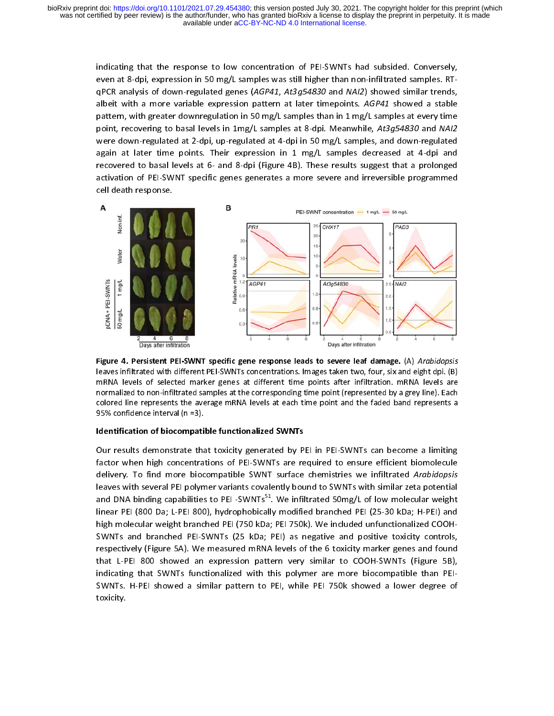> indicating that the response to low concentration of PEI-SWNTs had subsided. Conversely, even at 8-dpi, expression in 50 mg/L samples was still higher than non-infiltrated samples. RT-<br>qPCR analysis of down-regulated genes qrek analysis of down-regulated genes (AGP41, At3g54830 and NAI2) showed similar trends,<br>albeit with a more variable expression pattern at later timepoints. AGP41 showed a stable<br>pattern, with greater downregulation in 50 albeit with a more variable expression pattern at later timepoints. AGP41 showed a stable<br>pattern, with greater downregulation in 50 mg/L samples than in 1 mg/L samples at every time<br>point, recovering to basal levels in 1m paint, recovering to basal levels in 1mg/L samples at 8-dpi. Meanwhile, At3g54830 and NAI2<br>were down-regulated at 2-dpi, up-regulated at 4-dpi in 50 mg/L samples, and down-regulated point, recovering to basal levels in 1mg/L samples at 8 dpl. Meanwhile, At3g54830 and NAI2<br>were down-regulated at 2-dpi, up-regulated at 4-dpi in 50 mg/L samples, and down-regulated<br>again at later time points. Their expres were down-regulated at 2-dpi, up-regulated at 1-dpi in 20 mg/L samples decreased at 4-dpi and<br>again at later time points. Their expression in 1 mg/L samples decreased at 4-dpi and<br>recovered to basal levels at 6- and 8-dpi recovered to basal levels at 6- and 8-dpi (Figure 4B). These results suggest that a prolonged activation of PEI-SWNT specific genes generates a more severe and irreversible programmed<br>cell death response. activation of PEI-SWNT specific generates a more severe and interesting programmed<br>cell death response.



Figure 4. Persistent PEP-SWNTs concentrations. Images taken two, four, six and eight dpi. (B)<br>ImRNA levels of selected marker genes at different time points after infiltration. mRNA levels are<br>normalized to non-infiltrated mRNA levels of selected marker genes at different time points after infiltration. mRNA levels are<br>normalized to non-infiltrated samples at the corresponding time point (represented by a grey line). Each<br>colored line repres

mormalized to non-infiltrated samples at the corresponding time point (represented by a grey line). Each<br>colored line represents the average mRNA levels at each time point and the faded band represents a<br>95% confidence int normalized to non-infiltrated to non-infiltrated samples at each time point and the faded band represents a<br>
95% confidence interval (n =3).<br> **Identification of biocompatible functionalized SWNTs**<br>
Our results demonstrate 95% confidence interval (n =3).<br> **Identification of biocompatible functionalized SWNTs**<br>
Our results demonstrate that toxicity generated by PEI in PEI-SWNTs can become a limiting<br>
factor when high concentrations of PEI-SW Montification of biocompatical<br>Pour results demonstrate that<br>factor when high concentrate<br>delivery. To find more bioc<br>leaves with several PEI polyn<br>and DNA binding capabilities<br>linear PEI (800 Da; L-PEI 800 Identification of biocompatible functionalized SWNTs<br>Our results demonstrate that toxicity generated by PEI in PEI-SWNTs can become a limiting factor when high concentrations of PEI-SWNTs are required to ensure efficient biomolecule<br>delivery. To find more biocompatible SWNT surface chemistries we infiltrated Arabidopsis leaves with several PEI polymer variants covalently bound to SWNTs with similar zeta potential delivery. To find more biocompatible SWNT surface chemistries we infiltrated Arabidopsis<br>leaves with several PEI polymer variants covalently bound to SWNTs with similar zeta potential<br>and DNA binding capabilities to PEI -S leaves with several PEP, with seminite WITs<sup>51</sup>. We infiltrated 50mg/L of low molecular weight<br>and DNA binding capabilities to PEI -SWNTs<sup>51</sup>. We infiltrated 50mg/L of low molecular weight<br>linear PEI (800 Da; L-PEI 800), h linear PEI (800 Da; L-PEI 800), hydrophobically modified branched PEI (25-30 kDa; H-PEI) and high molecular weight branched PEI (750 kDa; PEI 750k). We included unfunctionalized COOH-<br>SWNTs and branched PEI-SWNTs (25 kDa; PEI) as negative and positive toxicity controls, respectively (Figure 5A). We measured mRNA levels of the 6 toxicity marker genes and found of the Spectively (Figure 5A). We measured mRNA levels of the 6 toxicity marker genes and found<br>That L-PEI-800 showed an expression pattern very similar to COOH-SWNTs (Figure 5B), respectively (Figure 1 of the 6 tons of the 1-1 the figure 5-<br>Indicating that SWNTs functionalized with this polymer are more biocompatible than PEIindicating that SWNTs functionalized with this polymer are more biocompatible than PEI-<br>SWNTs. H-PEI showed a similar pattern to PEI, while PEI 750k showed a lower degree of indicating that  $S_{\rm N}$  functionalized with the more biocompatible than  $P_{\rm N}$  functionalized with than  $P_{\rm N}$ SWATS. H-PEI showed a similar pattern to PEI, while PEI 750k showed a lower degree of<br>toxicity.  $\frac{1}{\sqrt{2}}$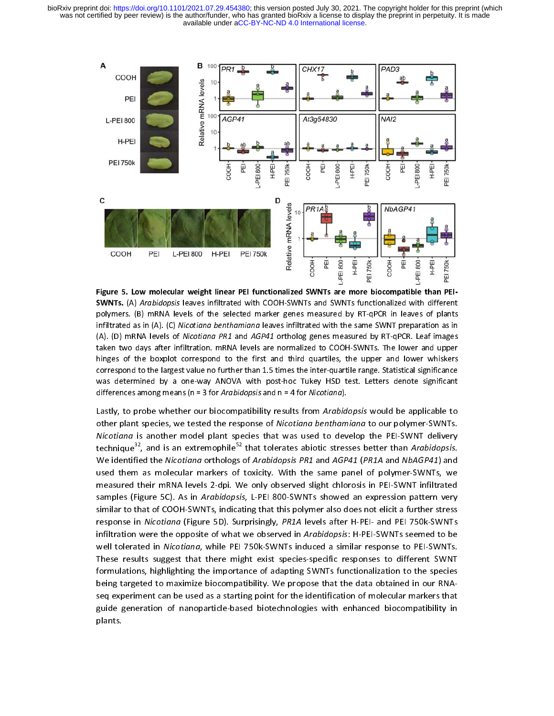

Figure 5. Low molecular weight linear PEI functionalized SWNTs are more biocompatible than PEI-<br>SWNTs. (A) *Arabidopsis* leaves infiltrated with COOH-SWNTs and SWNTs functionalized with different SWNTS. (A) Arabidopsis leaves infiltrated with COOH-SWNTs and SWWTs rancelonalized with different polymers. (B) mRNA levels of the selected marker genes measured by RT-qPCR in leaves of plants infiltrated as in (A). (C) *N* infiltrated as in (A). (C) *Nicotiana benthamiana* leaves infiltrated with the same SWNT preparation as in (A). (C) *Nicotiana benthamiana* leaves infiltrated with the same SWNT preparation as in (A). (D) mRNA levels of infinited as in (A). (C) Micotiana benthaminan leaves infiltrated with the same SWWT preparation as in<br>(A). (D) mRNA levels of *Nicotiana PR1* and *AGP41* ortholog genes measured by RT-qPCR. Leaf images<br>taken two days aft (A). (D) mRNA levels of Nicotiana PR1 and AGP41 ortholog genes measured by RT-qPCR. Lear images<br>taken two days after infiltration. mRNA levels are normalized to COOH-SWNTs. The lower and upper<br>hinges of the boxplot corresp

hinges of the boxplot correspond to the first and third quartiles, the upper and lower whiskers correspond to the largest value no further than 1.5 times the inter-quartile range. Statistical significance was determined b correspond to the largest value no further than 1.5 times the inter-quartile range. Statistical significance<br>was determined by a one-way ANOVA with post-hoc Tukey HSD test. Letters denote significant<br>differences among mean was determined by a one-way ANOVA with post-hoc Tukey HSD test. Letters denote significant<br>differences among means (n = 3 for *Arabidopsis* and n = 4 for *Nicotiana*).<br>Lastly, to probe whether our biocompatibility results differences among means (n = 3 for *Arabidopsis* and n = 4 for *Nicotiana*).<br>Lastly, to probe whether our biocompatibility results from *Arabidopsis* would be applicable to<br>other plant species, we tested the response of Lastly, to probe whether our biocompatibility results from *Arabido* other plant species, we tested the response of *Nicotiana bentham Nicotiana* is another model plant species that was used to deverthingue<sup>32</sup>, and is a Lastly, to probe whether our biocompatibility results from Arabidopsis would be applicable to<br>other plant species, we tested the response of Nicotiana benthamiana to our polymer-SWNTs.<br>Nicotiana is another model plant spec other plant species, we tested the response of Micotiana benthamiana to our polymer-SWNTs.<br>Nicotiana is another model plant species that was used to develop the PEI-SWNT delivery<br>technique<sup>32</sup>, and is an extremophile<sup>52</sup> t Nicotiana is another model plant species that was used to develop the PEI-SWNT delivery<br>technique<sup>32</sup>, and is an extremophile<sup>52</sup> that tolerates abiotic stresses better than *Arabidopsis.*<br>We identified the *Nicotiana* or We identified the Nicotiana orthologs of Arabidopsis PR1 and AGP41 (PR1A and NbAGP41) and used them as molecular markers of toxicity. With the same panel of polymer-SWNTs, we<br>measured their mRNA levels 2-dpi. We only observed slight chlorosis in PEI-SWNT infiltrated measured their mRNA levels 2-dpi. We only observed slight chlorosis in PEI-SWNT infiltrated<br>Samples (Figure 5C). As in *Arabidopsis,* L-PEI 800-SWNTs showed an expression pattern very measured their manimers is a dipiritie 2-dpi. We only only only only only the served similarities.<br>Samples (Figure 5C). As in *Arabidopsis*, L-PEI 800-SWNTs showed an expression pattern very<br>similar to that of COOH-SWNTs, samples (Figure 5C). As in Arabidopsis, L-PEI 800-SWNTs showed an expression pattern very<br>similar to that of COOH-SWNTs, indicating that this polymer also does not elicit a further stress<br>response in *Nicotiana* (Figure 5D response in *Nicotiana* (Figure 5D). Surprisingly, *PR1A* levels after H-PEI- and PEI 750k-SWNTs<br>infiltration were the opposite of what we observed in *Arabidopsis*: H-PEI-SWNTs seemed to be response in *Nicotiana* (Figure 5D). Surprisingly, PAIA levels after H-PEI- and PEI 750k-SWNTs<br>infiltration were the opposite of what we observed in *Arabidopsis*: H-PEI-SWNTs seemed to be<br>well tolerated in *Nicotiana*, wh infiltration were the opposite of what we observed in Arabidopsis: H-PEI-SWNTs seemed to be<br>well tolerated in *Nicotiana*, while PEI 750k-SWNTs induced a similar response to PEI-SWNTs.<br>These results suggest that there migh Well tolerated in *Nicotiana*, while PEI 750k-SWNTs induced a similar response to PEI-SWNTs.<br>These results suggest that there might exist species-specific responses to different SWNT<br>formulations, highlighting the importan The results suggest that the importance of adapting SWNTs functionalization to the species<br>- Specing targeted to maximize biocompatibility. We propose that the data obtained in our RNA being targeted to maximize biocompatibility. We propose that the data obtained in our RNA-<br>seg experiment can be used as a starting point for the identification of molecular markers that exq inperturent can be used to securing point of the identification of molecular markers that<br>guide generation of nanoparticle-based biotechnologies with enhanced biocompatibility in<br>plants. guide generation of nanoparticle-based biotechnologies with enhanced biocompatibility in<br>plants. plants.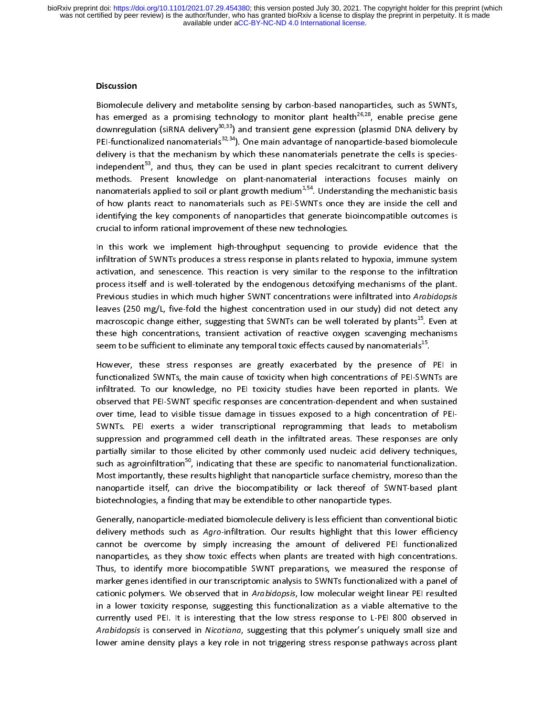# l<br>E Discussion

that emerged as a promising technology to monitor plant health<sup>26,28</sup>, enable precise gene<br>downregulation (siRNA delivery<sup>30,33</sup>) and transient gene expression (plasmid DNA delivery by<br>PEI-functionalized nanomaterials<sup>32,</sup> PEI-functionalized nanomaterials<sup>32,34</sup>). One main advantage of nanoparticle-based biomolecule<br>delivery is that the mechanism by which these nanomaterials penetrate the cells is speciesindependent<sup>53</sup>, and thus, they can be used in plant species recalcitrant to current delivery<br>methods. Present knowledge on plant-nanomaterial interactions focuses mainly on nanomaterials applied to soil or plant growth medium<sup>1,54</sup>. Understanding the mechanistic basis independent<sup>33</sup>, and thus, they can be used in plant species recalcitrant to current delivery<br>methods. Present knowledge on plant-nanomaterial interactions focuses mainly on<br>nanomaterials applied to soil or plant growth me methods. Present interactions in plant-nanomaterial interactions for anomaterials applied to soil or plant growth medium<sup>1,54</sup>. Understanding the mechanistic basis of how plants react to nanomaterials such as PEI-SWNTs onc of how plants react to nanomaterials such as PEI-SWNTs once they are inside the cell and identifying the key components of nanoparticles that generate bioincompatible outcomes is crucial to inform rational improvement of t identifying the key components of nanoparticles that generate bioincompatible outcomes is crucial to inform rational improvement of these new technologies.<br>In this work we implement high-throughput sequencing to provide evidence that the

crucial to informulation<br>In this work we implement high-throughput sequencing to positional infiltration of SWNTs produces a stress response in plants related infiltration of SWNTs produces a stress response in plants related to hypoxia, immune system<br>activation, and senescence. This reaction is very similar to the response to the infiltration<br>process itself and is well-tolerate activation, and senescence. This reaction is very similar to the response to the infiltration process itself and is well-tolerated by the endogenous detoxifying mechanisms of the plant. Previous studies in which much highe process itself and is well-tolerated by the endogenous detoxifying mechanisms of the plant.<br>Previous studies in which much higher SWNT concentrations were infiltrated into Arabidopsis<br>leaves (250 mg/L, five-fold the highes previous studies in which much higher SWNT concentrations were infiltrated into *Arabidopsis*<br>leaves (250 mg/L, five-fold the highest concentration used in our study) did not detect any<br>macroscopic change either, suggestin Previous studies in which much higher SWNT concentrations were inhitrated into Arabidopsis<br>leaves (250 mg/L, five-fold the highest concentration used in our study) did not detect any<br>macroscopic change either, suggesting t macroscopic change either, suggesting that SWNTs can be well tolerated by plants<sup>15</sup>. Even at these high concentrations, transient activation of reactive oxygen scavenging mechanisms seem to be sufficient to eliminate any

seem to be sufficient to eliminate any temporal toxic effects caused by nanomaterials<sup>15</sup>.<br>However, these stress responses are greatly exacerbated by the presence of PEI in<br>functionalized SWNTs, the main cause of toxicity functionalized SWNTs, the main cause of toxicity when high concentrations of PEI-SWNTs are infiltrated. To our knowledge, no PEI toxicity studies have been reported in plants. We observed that PEI-SWNT specific responses are concentration-dependent and when sustained<br>over time, lead to visible tissue damage in tissues exposed to a high concentration of PEI-<br>SWNTs. PEI exerts a wider transcriptional over time, lead to visible tissue damage in tissues exposed to a high concentration of PEI-<br>SWNTs. PEI exerts a wider transcriptional reprogramming that leads to metabolism<br>suppression and programmed cell death in the infi partially similar to those elicited by other commonly used nucleic acid delivery techniques, Suppression and programmed cell death in the infiltrated areas. These responses are only<br>partially similar to those elicited by other commonly used nucleic acid delivery techniques,<br>such as agroinfiltration<sup>50</sup>, indicating partially similar to those elicited by other commonly used nucleic acid delivery techniques,<br>such as agroinfiltration<sup>50</sup>, indicating that these are specific to nanomaterial functionalization.<br>Most importantly, these resul partial as agroinfiltration<sup>50</sup>, indicating that these are specific to nanomaterial functionalization.<br>Most importantly, these results highlight that nanoparticle surface chemistry, moreso than the<br>nanoparticle itself, can such as agroinfiltration<sup>50</sup>, indicating that these are specific to nanomaterial functionalization.<br>Most importantly, these results highlight that nanoparticle surface chemistry, moreso than the<br>nanoparticle itself, can dr Most importantly, interacting manufacture in the protect chemistry, interact that interaction<br>higher than the biocompatibility or lack thereof of SWNT-based plant<br>biotechnologies, a finding that may be extendible to other biotechnologies, a finding that may be extendible to other nanoparticle types.<br>Generally, nanoparticle-mediated biomolecule delivery is less efficient than conventional biotic

biotechnologies, a finality of extending the extendible to other name protects of per-<br>Generally, nanoparticle-mediated biomolecule delivery is less efficient than co<br>delivery methods such as Agro-infiltration. Our results Gelivery methods such as Agro-infiltration. Our results highlight that this lower efficiency<br>cannot be overcome by simply increasing the amount of delivered PEI functionalized<br>nanoparticles, as they show toxic effects when cannot be overcome by simply increasing the amount of delivered PEI functionalized<br>nanoparticles, as they show toxic effects when plants are treated with high concentrations.<br>Thus, to identify more biocompatible SWNT prepa cannot be overcome by simply increasing the amount of dentition of the concentrations.<br>Thus, to identify more biocompatible SWNT preparations, we measured the response of<br>marker genes identified in our transcriptomic analy Thus, to identify more biocompatible SWNT preparations, we measured the response of marker genes identified in our transcriptomic analysis to SWNTs functionalized with a panel of cationic polymers. We observed that in *Ara* marker genes identified in our transcriptomic analysis to SWNTs functionalized with a panel of<br>cationic polymers. We observed that in Arabidopsis, low molecular weight linear PEI resulted<br>in a lower toxicity response, sugg cationic polymers. We observed that in Arabidopsis, low molecular weight linear PEI resulted in a lower toxicity response, suggesting this functionalization as a viable alternative to the currently used PEI. It is interesting that the low stress response to L-PEI 800 observed in Arabidopsis is conserved in Nicotia currently used PEI. It is interesting that the low stress response to L-PEI 800 observed in Arabidopsis is conserved in *Nicotiana*, suggesting that this polymer's uniquely small size and<br>lower amine density plays a key role in not triggering stress response pathways across plant Arabidopsis is conserved in Micotiana, suggesting that this polymer's uniquely small size and<br>lower amine density plays a key role in not triggering stress response pathways across plant lower amine density plays a key role in not triggering stress response pathways across plant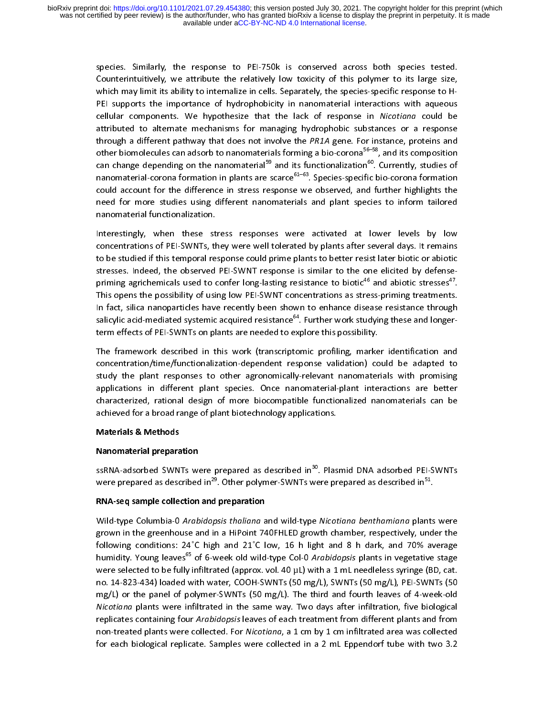> Species. Similarly, the response to PEI-750k is conserved across both species test for the counterintuitively, we attribute the relatively low toxicity of this polymer to its large size, which may limit its ability to inte Contribute the relatively of the relatively low to the polymer to the relatively vari-<br>Which may limit its ability to internalize in cells. Separately, the species-specific response to H-<br>PEI supports the importance of hyd attributed to alternate mechanisms for managing hydrophobic substances or a response cellular components. We hypothesize that the lack of response in *Nicotiana* could be attributed to alternate mechanisms for managing hydrophobic substances or a response through a different pathway that does not involve t other biomolecules can adsorb to nanomaterials forming a bio-corona<sup>56–58</sup>, and its composition can change depending on the nanomaterial<sup>59</sup> and its functionalization<sup>60</sup>. Currently, studies of other biomolecules can adsorb to nanomaterials forming a bio-corona<sup>56–58</sup>, and its composition<br>can change depending on the nanomaterial<sup>59</sup> and its functionalization<sup>60</sup>. Currently, studies of<br>nanomaterial-corona formatio other biomolecules can adsorb to nanomaterials forming a bio-corona<sup>2013</sup>, and its composition<br>can change depending on the nanomaterial<sup>59</sup> and its functionalization<sup>60</sup>. Currently, studies of<br>nanomaterial-corona formation can change depending on the nanomaterial<sup>39</sup> and its functionalization<sup>86</sup>. Currently, studies of<br>nanomaterial-corona formation in plants are scarce<sup>61–63</sup>. Species-specific bio-corona formation<br>could account for the diffe could account for the difference in stress response we observed, and further highlights the need for more studies using different nanomaterials and plant species to inform tailored nanomaterial functionalization. need for more studies using different nanomaterials and plant species to inform tailored nanomaterial functionalization.<br>Interestingly, when these stress responses were activated at lower levels by low

> nanomaterial functionalization.<br>Interestingly, when these st<br>concentrations of PEI-SWNTs, th concentrations of PEI-SWNTs, they were well tolerated by plants after several days. It remains<br>to be studied if this temporal response could prime plants to better resist later biotic or abiotic<br>stresses. Indeed, the obser to be studied if this temporal response could prime plants to better resist later biotic or abiotic<br>stresses. Indeed, the observed PEI-SWNT response is similar to the one elicited by defense-<br>priming agrichemicals used to the studied interesting temporal principality prime is similar to the one elicited by defense-<br>priming agrichemicals used to confer long-lasting resistance to biotic<sup>46</sup> and abiotic stresses<sup>47</sup>.<br>This opens the possibility In fact, silica nanoparticles have recently been shown to enhance disease resistance through priming agrichemicals used to confer long-lasting resistance to biotic<sup>-</sup> and abiotic stresses<sup>-</sup>'.<br>This opens the possibility of using low PEI-SWNT concentrations as stress-priming treatments.<br>In fact, silica nanoparticle In fact, silica nanoparticles have recently been shown to enhance disease resistance through<br>salicylic acid-mediated systemic acquired resistance<sup>64</sup>. Further work studying these and longer-<br>term effects of PEI-SWNTs on pl In fact, since nanoparticle into a courrely statement of the shown to enhance the constants in eagles<br>salicylic acid-mediated systemic acquired resistance  $^{64}$ . Further work studying these and longer-<br>term effects of PEI term effects of PEI-SWNTs on plants are needed to explore this possibility.<br>The framework described in this work (transcriptomic profiling, marker identification and

> The framework described in this work (transcriptomic profiling, marke<br>concentration/time/functionalization-dependent response validation) co The framework described in the framework described in the framework (transcribed in the framework described in<br>Study the plant responses to other agronomically-relevant nanomaterials with promising<br>applications in differen concentration/time/functionalization-dependent response validation, seculi at analyzed to<br>study the plant responses to other agronomically-relevant nanomaterials with promising<br>applications in different plant species. Once study the plant responses to other agronomically relevant nanomicalism in promising<br>applications in different plant species. Once nanomaterial-plant interactions are better<br>characterized, rational design of more biocompati characterized, rational design of more biocompatible functionalized nanomaterials can be achieved for a broad range of plant biotechnology applications.<br>Materials & Methods achieved for a broad range of plant biotechnology applications.

# Materials & Methods<br>Nanomaterial preparation<br>Nanomaterial preparation

# Nanomaterial preparation

ssRNA-adsorbed SWNTs were prepared as described in<sup>30</sup>. Plasmid DNA adsorbed PEI-SWNTs were prepared as described in<sup>29</sup>. Other polymer-SWNTs were prepared as described in<sup>51</sup>.<br>**RNA-seq sample collection and preparation** 

were prepared as described in~. Other polymer-SWNTs were prepared as described in\*\*.<br>**RNA-seq sample collection and preparation**<br>Wild-tvpe Columbia-0 *Arabidopsis thaliana* and wild-tvpe *Nicotiana benthamiana* plants RNA-seq sample concerton and preparation<br>Wild-type Columbia-0 Arabidopsis thaliana a<br>grown in the greenhouse and in a HiPoint 74 wild-type Columbia-0 Arabidopsis thaliand and wha-type Micotiana benthamiana plants were<br>grown in the greenhouse and in a HiPoint 740FHLED growth chamber, respectively, under the<br>following conditions: 24°C high and 21°C lo or a Hipoin in the greenhous: 24°C high and 21°C low, 16 h light and 8 h dark, and 70% average bumidity. Young leaves<sup>65</sup> of 6-week old wild-type Col-0 *Arabidopsis* plants in vegetative stage were selected to be fully in were selected to be fully infiltrated (approx. vol. 40  $\mu$ L) with a 1 mL needleless syringe (BD, cat.<br>no. 14-823-434) loaded with water, COOH-SWNTs (50 mg/L), SWNTs (50 mg/L), PEI-SWNTs (50<br>mg/L) or the panel of polymerwere selected to be fully infiltrated (approx. vol. 40 µL) with a 1 mL needleless syringe (BD, cat.<br>no. 14-823-434) loaded with water, COOH-SWNTs (50 mg/L), SWNTs (50 mg/L), PEI-SWNTs (50<br>mg/L) or the panel of polymer-SWNT matrices the type matrices with water, COOH-SWNTs (50 mg/L). The third and fourth leaves of 4-week-old<br>Nicotiana plants were infiltrated in the same way. Two days after infiltration, five biological<br>replicates containing f mg/L) or the panel of polymer-Survey (19 mg/L). The third and fourth leaves of viewer one<br>Nicotiana plants were infiltrated in the same way. Two days after infiltration, five biological<br>replicates containing four *Arabidop* Nicotiana plants were infiltrated in the same way. Two days after infiltration, five biological<br>replicates containing four *Arabidopsis* leaves of each treatment from different plants and from<br>non-treated plants were colle replicates containing four Arabidopsis leaves of each treatment from unterent plants and from<br>non-treated plants were collected. For *Nicotiana*, a 1 cm by 1 cm infiltrated area was collected<br>for each biological replicate. for each biological replicate. Samples were collected in a 2 mL Eppendorf tube with two 3.2 for each biological replicate. Samples were collected in a 2 mL Eppendorf tube with two 3.2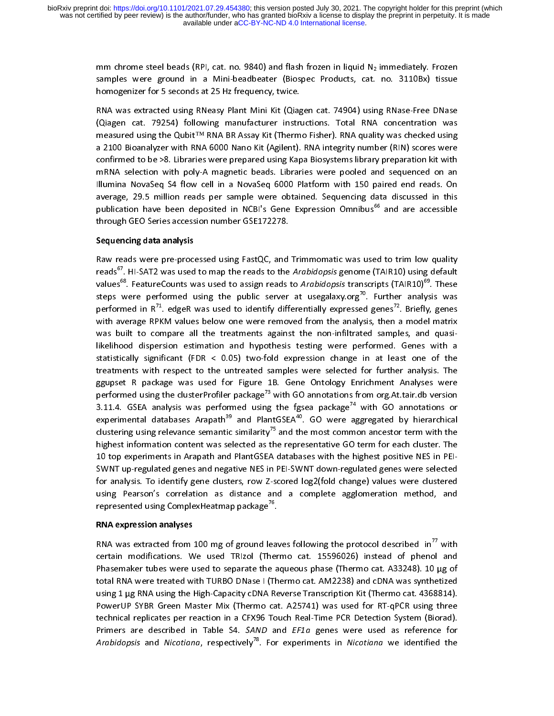mm chrome steel beads (RPI, cat. no. 9840) and flash frozen in liquid  $N_2$  immediately. Frozen samples were ground in a Mini-beadbeater (Biospec Products, cat. no. 3110Bx) tissue homogenizer for 5 seconds at 25 Hz freque

samples were ground in a mini-beadbeater (Bioppec Products) time to be seen the top star.<br>homogenizer for 5 seconds at 25 Hz frequency, twice.<br>RNA was extracted using RNeasy Plant Mini Kit (Qiagen cat. 74904) using RNase-F ر<br>RNA was extracted using RNeasy Plant Mini Kit (Qiag<br>(Qiagen cat 79254) following manufacturer instri (Qiagen cat. 79254) following manufacturer instructions. Total RNA concentration was measured using the Qubit<sup>TM</sup> RNA BR Assay Kit (Thermo Fisher). RNA quality was checked using a 2100 Bioanalyzer with RNA 6000 Nano Kit (Agilent). RNA integrity number (RIN) scores were confirmed to be >8. Libraries were pr a 2100 Bioanalyzer with RNA 6000 Nano Kit (Agilent). RNA integrity number (RIN) scores were confirmed to be >8. Libraries were prepared using Kapa Biosystems library preparation kit with mRNA selection with poly-A magnetic confirmed to be >8. Libraries were prepared using Kapa Biosystems library preparation kit with<br>mRNA selection with poly-A magnetic beads. Libraries were pooled and sequenced on an<br>Illumina NovaSeq S4 flow cell in a NovaSeq mRNA selection with poly-A magnetic beads. Libraries were pooled and sequenced on an<br>Illumina NovaSeq S4 flow cell in a NovaSeq 6000 Platform with 150 paired end reads. On<br>average, 29.5 million reads per sample were obtain Illumina NovaSeq S4 flow cell in a NovaSeq 6000 Platform with 150 paired end reads. On<br>average, 29.5 million reads per sample were obtained. Sequencing data discussed in this<br>publication have been deposited in NCBI's Gene Infinite Termser Cell in a Termser of the Platform with 150 pairce for tends on a<br>average, 29.5 million reads per sample were obtained. Sequencing data discussed in this<br>publication have been deposited in NCBI's Gene Expre average, 2012 million reads per sample were strained. Sequencing and are accessible<br>publication have been deposited in NCBI's Gene Expression Omnibus<sup>66</sup> and are accessible<br>through GEO Series accession number GSE172278.<br>**S** through GEO Series accession number GSE172278.<br>Sequencing data analysis<br>Raw reads were pre-processed using FastQC, and Trimmomatic was used to trim low quality

# Sequencing data analysis

reads<sup>67</sup>. HI-SAT2 was used to map the reads to the Arabidopsis genome (TAIR10) using default<br>values<sup>68</sup>. FeatureCounts was used to assign reads to Arabidopsis transcripts (TAIR10)<sup>69</sup>. These<br>steps were performed using th steps were performed using the public server at usegalaxy.org<sup>70</sup>. Further analysis was performed in  $R^{71}$ . edgeR was used to identify differentially expressed genes<sup>72</sup>. Briefly, genes with average RPKM values below on performed in  $R^{71}$ . edgeR was used to identify differentially expressed genes<sup>72</sup>. Briefly, genes performed in R<sup>22</sup>. edgeR was used to identify differentially expressed genes<sup>22</sup>. Briefly, genes<br>with average RPKM values below one were removed from the analysis, then a model matrix<br>was built to compare all the treatmen was built to compare all the treatments against the non-infiltrated samples, and quasi-<br>likelihood dispersion estimation and hypothesis testing were performed. Genes with a<br>statistically significant (FDR < 0.05) two-fold e treatments with respect to the untreated samples were selected for further analysis. The Interact the performation and hypothesis testing were performed. The statistically significant (FDR < 0.05) two-fold expression change in at least one of the treatments with respect to the untreated samples were selected f treatments with respect to the untreated samples were selected for further analysis. The<br>ggupset R package was used for Figure 1B. Gene Ontology Enrichment Analyses were<br>performed using the clusterProfiler package<sup>73</sup> with ggupset R package was used for Figure 1B. Gene Ontology Enrichment Analyses were<br>performed using the clusterProfiler package<sup>73</sup> with GO annotations from org.At.tair.db version<br>3.11.4. GSEA analysis was performed using the performed using the clusterProfiler package<sup>73</sup> with GO annotations from org.At.tair.db version<br>3.11.4. GSEA analysis was performed using the fgsea package<sup>74</sup> with GO annotations or<br>experimental databases Arapath<sup>39</sup> and experimental databases Arapath<sup>39</sup> and PlantGSEA<sup>40</sup>. GO were aggregated by hierarchical clustering using relevance semantic similarity<sup>75</sup> and the most common ancestor term with the highest information content was select clustering using relevance semantic similarity<sup>75</sup> and the most common ancestor term with the clustering using relevance semantic similarity'" and the most common ancestor term with the<br>highest information content was selected as the representative GO term for each cluster. The<br>10 top experiments in Arapath and Pla monter information content was selected as the representative CD term for each cluster. In PEI-<br>10 top experiments in Arapath and PlantGSEA databases with the highest positive NES in PEI-<br>SWNT up-regulated genes and negati using Pearson's correlation as distance and a complete agglomeration method, and<br>represented using Complex Heatmap package<sup>76</sup>. SWNT up-regulated genes and negative NES in PEI-SWNT down-regulated genes were selected<br>for analysis. To identify gene clusters, row Z-scored log2(fold change) values were clustered represented using Complex Heatmap package<sup>76</sup>.<br>**RNA expression analyses** 

represented using ComplexHeatmap package^°.<br>**RNA expression analyses**<br>RNA was extracted from 100 mg of ground lea RNA expression analyses<br>RNA was extracted from<br>certain modifications. W RNA was extracted from 100 mg of ground leaves following the protocol described in'' with<br>certain modifications. We used TRIzol (Thermo cat. 15596026) instead of phenol and<br>Phasemaker tubes were used to separate the aqueou Phasemaker tubes were used to separate the aqueous phase (Thermo cat. A33248). 10 µg of<br>total RNA were treated with TURBO DNase I (Thermo cat. AM2238) and cDNA was synthetized<br>using 1 µg RNA using the High-Capacity cDNA Re Thas I RNA were treated with TURBO DNase I (Thermo cat. AM2238) and cDNA was synthetized<br>In an aqueous were the aligh-Capacity cDNA Reverse Transcription Kit (Thermo cat. 4368814).<br>PowerUP SYBR Green Master Mix (Thermo cat using 1 µg RNA using the High-Capacity cDNA Reverse Transcription Kit (Thermo cat. 4368814).<br>PowerUP SYBR Green Master Mix (Thermo cat. A25741) was used for RT-qPCR using three<br>technical replicates per reaction in a CFX96 Primers are described in Table S4. SAND and EF1a genes were used as reference for technical replicates per reaction in a CFX96 Touch Real-Time PCR Detection System (Biorad).<br>Primers are described in Table S4. *SAND* and *EF1a* genes were used as reference for<br>*Arabidopsis* and *Nicotiana*, respectively<sup></sup> Primers are described in Table S4. *SAND* and *EF1a* genes were used as reference for<br>Arabidopsis and Nicotiana, respectively<sup>78</sup>. For experiments in Nicotiana we identified the *Arabidopsis* and *Nicotiana*, respectively<sup>78</sup>. For experiments in *Nicotiana* we identified the<br>Arabidopsis and *Nicotiana*, respectively<sup>78</sup>. For experiments in *Nicotiana* we identified the A*rabidopsis* and *Nicotiana*, respectively<sup>rs</sup>. For experiments in *Nicotiana* we identified the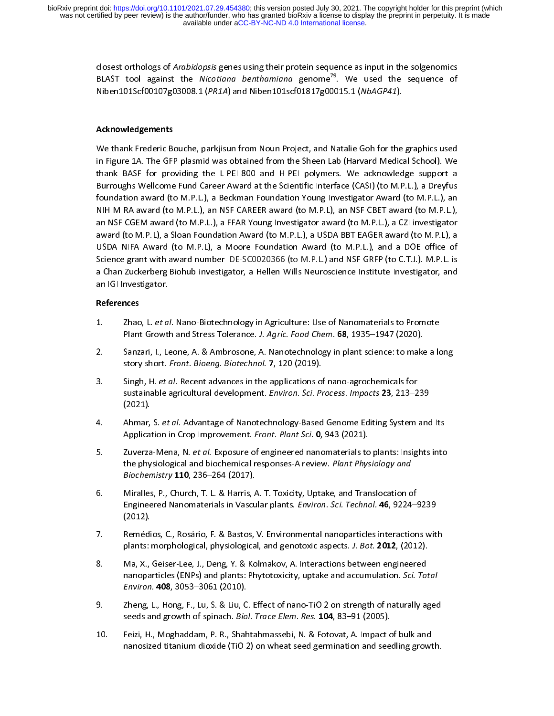> closest orthologs of *Arabidopsis* genes using their protein sequence as input in the solgenomics<br>BLAST tool against the *Nicotiana benthamiana* genome<sup>79</sup>. We used the sequence of  $Niben 101Scf 00107g 03008.1 (PR1A)$  and  $Niben 101sc f 01817g 00015.1 (NbAGP41).$ Niben101Scrooto7g03000.1 (PR1A) and Niben101Scroto17g00015.1 (NbAGP41).<br>Acknowledgements

# $\frac{1}{\sqrt{2}}$ Acknowledgements

in Figure 1A. The GFP plasmid was obtained from the Sheen Lab (Harvard Medical School). We<br>thank BASF for providing the L-PEI-800 and H-PEI polymers. We acknowledge support a<br>Burroughs Wellcome Fund Career Award at the Sci in Figure 2. The GFP plasmid was extended from the CHAP polymers. We acknowledge support a<br>Burroughs Wellcome Fund Career Award at the Scientific Interface (CASI) (to M.P.L.), a Dreyfus<br>foundation award (to M.P.L.), a Beck thank Base for providing the L-PEI-800 and H-PEI-polymers. We annualized support a<br>Burroughs Wellcome Fund Career Award at the Scientific Interface (CASI) (to M.P.L.), a Dreyfus<br>foundation award (to M.P.L.), an NSF CAREER foundation award (to M.P.L.), a Beckman Foundation Young Investigator Award (to M.P.L.), an<br>NIH MIRA award (to M.P.L.), an NSF CAREER award (to M.P.L), an NSF CBET award (to M.P.L.),<br>an NSF CGEM award (to M.P.L.), a FFAR Y NIH MIRA award (to M.P.L.), an NSF CAREER award (to M.P.L), an NSF CBET award (to M.P.L.), an NSF CGEM award (to M.P.L.), a FFAR Young Investigator award (to M.P.L.), a CZI investigator<br>award (to M.P.L), a Sloan Foundation Award (to M.P.L.), a USDA BBT EAGER award (to M.P.L), a<br>USDA NIFA Award (to M.P.L), a Moor award (to M.P.L), a Sloan Foundation Award (to M.P.L.), a USDA BBT EAGER award (to M.P.L), a and an (to marry acteurs compared them as (to minicity) a decrease the control marry (to minicy) a<br>USDA NIFA Award (to M.P.L), a Moore Foundation Award (to M.P.L.), and a DOE office of<br>Science grant with award number DE-SC Science grant with award number DE-SC0020366 (to M.P.L.) and NSF GRFP (to C.T.J.). M.P.L. is<br>a Chan Zuckerberg Biohub investigator, a Hellen Wills Neuroscience Institute Investigator, and<br>an IGI Investigator. a Chan Zuckerberg Biohub investigator, a Hellen Wills Neuroscience Institute Investigator, and an IGI Investigator. a Chan Zuckerberg Biohub investigator, a Hellen Wills Neuroscience Institute Institute Institute Institute In<br>an IGI Investigator,<br>References

## References

- 1. Zhao, L. et al. Nano-Biotechnology in Agriculture: Use of Nanomaterials to Promote
- 1. Zhao, L. et al. Nano-Biotechnology in Agriculture: Use of Nanomaterials to Promote<br>Plant Growth and Stress Tolerance. J. Agric. Food Chem. 68, 1935–1947 (2020).<br>2. Sanzari, I., Leone, A. & Ambrosone, A. Nanotechnology i Plant Growth and Stress Tolerance. J. Agric. Food Chem. 68, 1999–1947 (2020).<br>Sanzari, I., Leone, A. & Ambrosone, A. Nanotechnology in plant science: to make<br>story short. *Front. Bioeng. Biotechnol.* 7, 120 (2019). 2. Sanzari, I., Leone, A. & Ambrosone, A. Nanotechnology in plant science: to ma<br>story short. *Front. Bioeng. Biotechnol.* 7, 120 (2019).<br>3. Singh, H. *et al.* Recent advances in the applications of nano-agrochemicals for
- story short. Front. Bioeng. Biotechnol. 7, 120 (2019).<br>Singh, H. *et al.* Recent advances in the applications of<br>sustainable agricultural development. *Environ. Sci. Pr* 3. Singh, H. et al. Recent advances in the applications of nano-agrochemicals for<br>sustainable agricultural development. Environ. Sci. Process. Impacts 23, 213–2<br>(2021).
- sustainable agricultural development. *Environ. Sci. Process. Impacts 23, 213–239*<br>(2021).<br>Ahmar, S. *et al.* Advantage of Nanotechnology-Based Genome Editing System and (2022).<br>Ahmar,<br>Applicat
- 4. Ahmar, S. et al. Advantage of Nanotechnology-Based Genome Editing System and its<br>Application in Crop Improvement. Front. Plant Sci. 0, 943 (2021).<br>5. Zuverza-Mena, N. et al. Exposure of engineered nanomaterials to plant Application in Crop Improvement. Front. Plant Sci. 0, 943 (2021).<br>Zuverza-Mena, N. *et al.* Exposure of engineered nanomaterials to<br>the physiological and biochemical responses-A review. *Plant Phys* 5. Zuverza-Mena, N. *et al.* Exposure of engineered nanomaterials to plants: Insi<br>the physiological and biochemical responses-A review. *Plant Physiology and<br>Biochemistry* 110, 236–264 (2017).<br>6. Miralles, P., Church, T. L
- the physiological and biochemical responses-A review. Plant Physiology and<br>Biochemistry 110, 236–264 (2017).<br>Miralles, P., Church, T. L. & Harris, A. T. Toxicity, Uptake, and Translocation o Biochemistry 110, 236–204 (2017).<br>Miralles, P., Church, T. L. & Harris, A<br>Engineered Nanomaterials in Vascu Engineered Nanomaterials in Vascular plants. *Environ. Sci. Technol.* **46**, 9224–9239 (2012).<br>7. Remédios. C.. Rosário. F. & Bastos. V. Environmental nanoparticles interactions wit
- Remédios, C., Rosário, F. & Bastos, V. Environmental nanoparticles interactions with 、<br>Remédi<br>plants: i
- Francesco, C., Rosselles, Physiological, and genotoxic aspects. J. Bot. 2012, (2012).<br>
28. Ma, X., Geiser-Lee, J., Deng, Y. & Kolmakov, A. Interactions between engineered<br>
2012. Capacanaticles (ENRs) and plants: Bhytotoxis Ma, X., Geiser-Lee, J., Deng, Y. & Kolmakov, A. Interactions between engineered<br>nanoparticles (ENPs) and plants: Phytotoxicity, uptake and accumulation. *Sci. To:*<br>*Environ.* **408**, 3053–3061 (2010). 8. manoparticles (ENPs) and plants: Phytotoxicity, uptake and accumulation. *Sci. Total*<br>8. Environ. **408**, 3053–3061 (2010).<br>9. Zheng, L., Hong, F., Lu, S. & Liu, C. Effect of nano-TiO 2 on strength of naturally aged
- Zheng, L., Hong, F., Lu, S. & Liu, C. Effect of nano-TiO 2 on strength of naturally aged Environ. 408, 3033–3001 (2010).<br>Zheng, L., Hong, F., Lu, S. & Liu, C<br>seeds and growth of spinach. *Bio*.
- seeds and growth of spinach. *Biol. Trace Elem. Res.* **104**, 83–91 (2005).<br>10. Feizi, H., Moghaddam, P. R., Shahtahmassebi, N. & Fotovat, A. Impact of bulk and<br>nanosized titanium diovide (TiO 3) on wheat seed commination a secus and growth of spinach. Biol. Trace Elem. Res. 104, 83–91 (2009).<br>Feizi, H., Moghaddam, P. R., Shahtahmassebi, N. & Fotovat, A. Impact c<br>nanosized titanium dioxide (TiO 2) on wheat seed germination and see 10. Feizi, H., M., Moghaddam, P. R., Shahahmassedam, N. B. Fotocal, A. Imperior bulk and and<br>nanosized titanium dioxide (TiO 2) on wheat seed germination and seedling growt nanosized titanium dioxide (TiO 2) on wheat seed germination and seedling growth.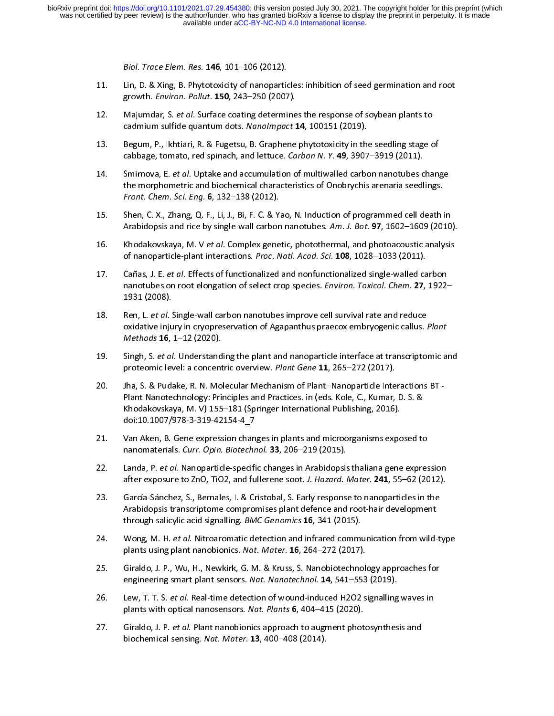- Biol. Trace Elem. Res. **146**, 101–106 (2012).<br>Lin, D. & Xing, B. Phytotoxicity of nanoparticles: inhibition of seed germination and root<br>growth. *Environ. Pollut*. **150**, 243–250 (2007).
- 11. Lin, D. Britan, B. Britan, B. Britan, B. Phytotoxic, Branch and root and root and root and root and root na<br>12. Majumdar, S. et al. Surface coating determines the response of soybean plants to<br>2015. Majumdar, S. et al. growth. *Environ. Pollut.* 150, 243–250 (2007).<br>Majumdar, S. *et al.* Surface coating determine<br>cadmium sulfide quantum dots. Nanolmpact 1
- 12. Majumdar, S. et al. Surface coating determines the response of soybean plants to<br>cadmium sulfide quantum dots. Nanolmpact 14, 100151 (2019).<br>13. Begum, P., Ikhtiari, R. & Fugetsu, B. Graphene phytotoxicity in the seedl cadmium sulfide quantum dots. Nanomipact 14, 100151 (2015).<br>Begum, P., Ikhtiari, R. & Fugetsu, B. Graphene phytotoxicity in the<br>cabbage, tomato, red spinach, and lettuce. *Carbon N. Y.* 49, 3907
- 13. Begun, P., Indians, R. Berlin, B. Begun, B. Propensis properties, In the second cabbage, tomato, red spinach, and lettuce. Carbon N. Y. 49, 3907–3919 (2011).<br>14. Smirnova, E. et al. Uptake and accumulation of multiwall cabbage, tomato, red spinach, and lettuce. Carbon N. Y. 49, 3907–3919 (2011).<br>Smirnova, E. *et al.* Uptake and accumulation of multiwalled carbon nanotubes c<br>the morphometric and biochemical characteristics of Onobrychis a 14. Smirnova, E. *et al.* Uptake and accumulation of multiwalled carbon nanotubes chang<br>the morphometric and biochemical characteristics of Onobrychis arenaria seedlings.<br>Front. Chem. Sci. Eng. 6, 132–138 (2012).<br>15. Shen.
- the morphometric and biochemical characteristics of Onobrychis arenamic county.<br>Front, C. X., Zhang, Q. F., Li, J., Bi, F. C. & Yao, N. Induction of programmed cell death is<br>Arabidencis and rise by single wall sashen panet Front. Chem. Sci. Eng. **6**, 132–138 (2012).<br>Shen, C. X., Zhang, Q. F., Li, J., Bi, F. C. & Y.<br>Arabidopsis and rice by single-wall carbon 15. Arabidopsis and rice by single-wall carbon nanotubes. Am. J. Bot. **97**, 1602–1609 (2010).<br>16. Khodakovskava. M. V *et al.* Complex genetic. photothermal. and photoacoustic analysis
- Khodakovskaya, M. V et al. Complex genetic, photothermal, and photoacoustic analysis of nanoparticle-plant interactions. *Proc. Natl. Acad. Sci.* 108, 1028–1033 (2011).<br>17. Cañas, J. E. *et al.* Effects of functionalized and nonfunctionalized single-walled ca
- Cañas, J. E. *et al.* Effects of functionalized and nonfunctionalized single-walled carbon<br>nanotubes on root elongation of select crop species. *Environ. Toxicol. Chem.* **27**, 1922-<br>1931 (2008). 1931 (2008). nanotubes on root elongation of select crop species. *Environ. Toxicol. Chem.* **27**, 1922–<br>1931 (2008). Ren. L. *et al.* Single-wall carbon nanotubes improve cell survival rate and reduce
- nanotubes on root elongation of select crop species. *Environ. Toxicol. Chem.* 27, 1922–<br>1931 (2008).<br>Ren, L. *et al.* Single-wall carbon nanotubes improve cell survival rate and reduce 1<br>1931 (Ren, L. *et al. S*<br>1931 Mathode oxidative injury in cryopreservation of Agapanthus praecox embryogenic callus. Plant<br>Methods 16, 1–12 (2020).<br>19. Singh, S. et al. Understanding the plant and nanoparticle interface at transcriptomic ar
- oxidative injury in cryopreservation of Agapanthus praecox embryogenic callus. Plant<br>Methods 16, 1–12 (2020).<br>Singh, S. et al. Understanding the plant and nanoparticle interface at transcriptomic a Methods 16, 1–12 (2020).<br>Singh, S. *et al.* Understand<br>proteomic level: a concent proteomic level: a concentric overview. *Plant Gene* 11, 265–272 (2017).<br>19. Iha, S. & Pudake, R. N. Molecular Mechanism of Plant–Nanoparticle Interactions BT
- proteomic level: a concentric overview. Plant Gene 11, 265–272 (2017).<br>Jha, S. & Pudake, R. N. Molecular Mechanism of Plant-Nanoparticle Inte<br>Plant Nanotechnology: Principles and Practices. in (eds. Kole, C., Kumar, 20. June 20. June 20. June 20. June 20. June 20. June 20. June 20. June 20. June 20. June 20. June 20. S. & Khodakovskaya, M. V) 155–181 (Springer International Publishing, 2016).<br>doi:10.1007/978-3-319-42154-4\_7 Khodakovskaya, M. V) 155–181 (Springer International Publishing, 2016).<br>doi:10.1007/978-3-319-42154-4 7
- Van Aken, B. Gene expression changes in plants and microorganisms exposed to nanomaterials. Curr. Opin. Biotechnol. 33, 206-219 (2015).
- nanomaterials. Curr. Opin. Biotechnol. 33, 206–219 (2015).<br>22. Landa, P. et al. Nanoparticle-specific changes in Arabidopsis thaliana gene expression and microorganisms exposed to the microorganisms exposed to the microorg nanomaterials. Curr. Opin. Biotechnol. 33, 200–213 (2013).<br>Landa, P. *et al.* Nanoparticle-specific changes in Arabidopsis<br>after exposure to ZnO, TiO2, and fullerene soot. *J. Hazard. I*
- 22. Landa, P. et al. Nanoparticle-specific changes in Arabidopsis thaliana gene expression<br>after exposure to ZnO, TiO2, and fullerene soot. J. Hazard. Mater. 241, 55–62 (2012).<br>23. García-Sánchez, S., Bernales, I. & Cristo after exposure to ZnO, TiO2, and fullerene soot. J. Hazard. Mater. 241, 55–62 (2012).<br>García-Sánchez, S., Bernales, I. & Cristobal, S. Early response to nanoparticles in the<br>Arabidopsis transcriptome compromises plant defe 23. García-Sánchez, S., Bernales, I. & Cristobal, S. Early response to nanoparticles in the<br>Arabidopsis transcriptome compromises plant defence and root-hair development<br>through salicylic acid signalling. *BMC Genomics* **1**
- Wong, M. H. et al. Nitroaromatic detection and infrared communication from wild-type plants using plant nanobionics. Nat. Mater. 16, 264-272 (2017).
- 24. Wong, M. H. et al. Nitroaromatic detection and infrared communication from wild type<br>plants using plant nanobionics. Nat. Mater. 16, 264–272 (2017).<br>25. Giraldo, J. P., Wu, H., Newkirk, G. M. & Kruss, S. Nanobiotechnol plants using plant nanobionics. Nat. Mater. 10, 204–272 (2017).<br>Giraldo, J. P., Wu, H., Newkirk, G. M. & Kruss, S. Nanobiotechnol.<br>engineering smart plant sensors. Nat. Nanotechnol. 14, 541–553
- engineering smart plant sensors. Nat. Nanotechnol. 14, 541–553 (2019).<br>26. Lew, T. T. S. et al. Real-time detection of wound-induced H2O2 signalling waves in engineering smart plant sensors. *Nat. Nanotechnol.* 14, 541–553 (2015).<br>Lew, T. T. S. *et al.* Real-time detection of wound-induced H2O2 signalling<br>plants with optical nanosensors. *Nat. Plants* 6, 404–415 (2020).
- 26. Lew, T. T. S. et al. Real-time detection of wound-induced H2O2 signaling waves in<br>plants with optical nanosensors. Nat. Plants 6, 404–415 (2020).<br>27. Giraldo, J. P. et al. Plant nanobionics approach to augment photosyn plants with optical nanosensors. Nat. Plants **6**, 404–415 (2020).<br>Giraldo, J. P. *et al.* Plant nanobionics approach to augment phot<br>biochemical sensing. N*at. Mater*. **13**, 400–408 (2014). 27. Giraldo, J. P. et al. Plant nanobionics approach to augnent photospach photospach control. 2014). biochemical sensing. Nat. Mater. 13, 400–408 (2014).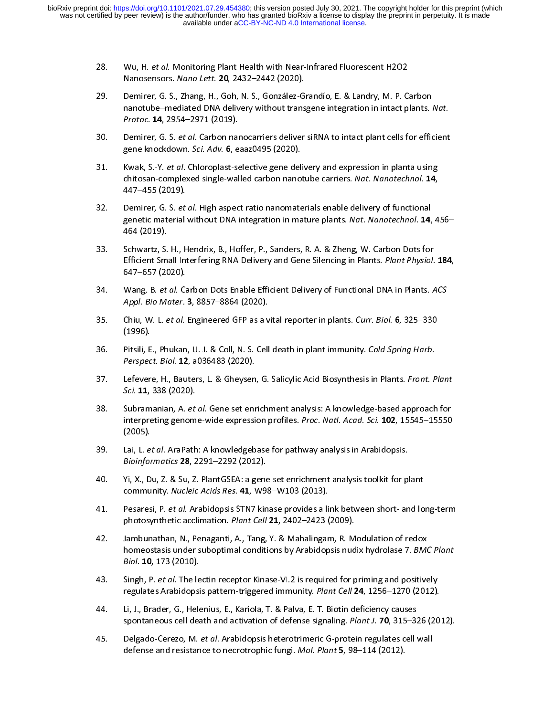- 
- 28. Wu, H. et al. Monitoring Plant Health with Near-Infrared Plaorescent H2O2<br>Nanosensors. Nano Lett. 20, 2432–2442 (2020).<br>29. Demirer, G. S., Zhang, H., Goh, N. S., González-Grandío, E. & Landry, M. P. C Nanosensors. *Nano Lett. 20, 2432*–2442 (2020).<br>Demirer, G. S., Zhang, H., Goh, N. S., González-G<br>nanotube–mediated DNA delivery without trans 29. nanotube–mediated DNA delivery without transgene integration in intact plants. Nat.<br>*Protoc*. **14**, 2954–2971 (2019).<br>30. Demirer, G. S. *et al.* Carbon nanocarriers deliver siRNA to intact plant cells for efficient
- Demirer, G. S. et al. Carbon nanocarriers deliver siRNA to intact plant cells for efficient gene knockdown. Sci. Adv. 6, eaaz0495 (2020).
- 30. Demirer, G. S. et al. Carbon nanocarriers deliver sixtuation inact plant cells for efficient<br>gene knockdown. Sci. Adv. 6, eaaz0495 (2020).<br>31. Kwak, S.-Y. et al. Chloroplast-selective gene delivery and expression in pl gene knockdown. Sci. Adv. 6, eaazo495 (2020).<br>Kwak, S.-Y. *et al.* Chloroplast-selective gene deli<br>chitosan-complexed single-walled carbon nanoi 31. Kwak, S.-Y. *et al.* Chloroplast-selective gene delivery and expression in planta using<br>chitosan-complexed single-walled carbon nanotube carriers. *Nat. Nanotechnol.* **14**,<br>447–455 (2019).<br>32. Demirer. G. S. *et al.* H
- chitosan-complexed single-walled carbon nanotube carriers. Nat. Nanotechnol. 14,<br>447–455 (2019).<br>Constig material without DNA integration in mature plants. Net. Nanotechnol. 14, 4 ر<br>Demirer, G. S. *et*<br>genetic material<br>464 (2019). 33. genetic material without DNA integration in mature plants. Nat. Nanotechnol. 14, 456–464<br>464 (2019). <br>33. Schwartz. S. H.. Hendrix. B.. Hoffer. P.. Sanders. R. A. & Zheng. W. Carbon Dots for
- genetic material without DNA integration in mature plants. Nat. Nanotechnol. 14, 456–<br>464 (2019).<br>Efficient Small Interfering PNA Delivery and Gene Silenging in Plants. Plant Physiol. 184 ر<br>Schwartz, S.<br>1647 - 1748 (20 534. Efficient Small Interfering RNA Delivery and Gene Silencing in Plants. *Plant Physiol*. 184,<br>647–657 (2020).<br>34. Wang. B. *et al.* Carbon Dots Enable Efficient Delivery of Functional DNA in Plants. ACS
- Efficient Small Interfering RNA Delivery and Gene Sheneing in Plants. Plant Physiol. 184,<br>647–657 (2020).<br>Anni, Bio Meter, 3, 8857, 8864 (2020). ,<br>Wang, B. et al. C.<br>Appl. Bio Mater.
- 34. Wang, B. et al. Carbon Dots Enable Efficient Delivery of Functional DNA in Flants. Acs<br>Appl. Bio Mater. 3, 8857–8864 (2020).<br>35. Chiu, W. L. et al. Engineered GFP as a vital reporter in plants. Curr. Biol. 6, 325–330 Appl. Bio Mater. 3, 8857–8864 (2020).<br>Chiu, W. L. *et al.* Engineered GFP as a v<br>(1996).
- 35. Chiu, W. L. et al. Engineered GFP as a vital reporter in plants. Carr. Biol. 6, 325–330<br>(1996).<br>Berspect, Biol. 12, 2026482. (2020). (1999).<br>Pitsili, E<br>*Perspec*
- 36. Pitsili, E., Phukan, O. J. & Coll, N. S. Cell death in plant immunity. Cold Spring Hurb.<br>Perspect. Biol. 12, a036483 (2020).<br>37. Lefevere, H., Bauters, L. & Gheysen, G. Salicylic Acid Biosynthesis in Plants. Front. P Perspect. Biol. **12**, a036483 (2020).<br>Lefevere, H., Bauters, L. & Gheysen<br>*Sci.* **11**, 338 (2020).
- 37. Lefevere, H., Bauters, L. & Gheysen, G. Salicylic Acid Biosynthesis in Plants. Front. Plant<br>Sci. 11, 338 (2020).<br>38. Subramanian, A. et al. Gene set enrichment analysis: A knowledge-based approach for Sci. 11, 338 (2020).<br>Subramanian, A. *et*<br>interpreting genom 38. Subramanian, A. *et al.* Gene set enrichment analysis: A knowledge-based approach for<br>interpreting genome-wide expression profiles. *Proc. Natl. Acad. Sci.* **102**, 15545–15550<br>(2005). Lai, L. *et al.* AraPath: A knowle
- Lai, L. et al. AraPath: A knowledgebase for pathway analysis in Arabidopsis. Bioinformatics 28, 2291-2292 (2012).
- 40. Yi, X., Du, Z. & Su, Z. PlantGSEA: a gene set enrichment analysis toolkit for plant community. Nucleic Acids Res. 41, W98-W103 (2013).
- 60. community. Nucleic Acids Res. 41, W98-W103 (2013).<br>41. Pesaresi, P. et al. Arabidopsis STN7 kinase provides a link between short- and lo community. Nucleic Acids Res. 41, W98–W103 (2013).<br>Pesaresi, P. *et al.* Arabidopsis STN7 kinase provides a li<br>photosynthetic acclimation. *Plant Cell* 21, 2402–2423 ( 41. Pesaresi, P. *et al.* Arabidopsis STN7 kinase provides a link between short- and lon<br>photosynthetic acclimation. *Plant Cell* **21**, 2402–2423 (2009).<br>42. Jambunathan, N., Penaganti, A., Tang, Y. & Mahalingam, R. Modula
- photosynthetic acclimation. Plant Cell 21, 2402–2423 (2009).<br>Jambunathan, N., Penaganti, A., Tang, Y. & Mahalingam, R. M<br>homeostasis under suboptimal conditions by Arabidopsis nud 42. Single P. at al. The lectin recenter Kingse VI 3 is required for priming and positive<br>A. Singh P. at al. The lectin recenter Kingse VI 3 is required for priming and positive Biol. 10, 173 (2010).<br>Singh, P. et al. The lectin receptor Kinase-VI.2 is required for priming and positively
- Biol. 10, 173 (2010).<br>Singh, P. *et al.* The le<br>regulates Arabidopsi
- 43. Singh, P. et al. The lectin receptor Kinase-VI.2 is required for priming and positively<br>regulates Arabidopsis pattern-triggered immunity. Plant Cell 24, 1256–1270 (2012).<br>44. Li, J., Brader, G., Helenius, E., Kariola, regulates Arabidopsis pattern-triggered immunity. Plant Cell 24, 1256–1270 (2012).<br>Li, J., Brader, G., Helenius, E., Kariola, T. & Palva, E. T. Biotin deficiency causes<br>spontaneous cell death and activation of defense sign
- spontaneous cell death and activation of defense signaling. *Plant J.* **70**, 315–32<br>45. Delgado-Cerezo, M. *et al.* Arabidopsis heterotrimeric G-protein regulates cell v spontaneous cell death and activation of defense signaling. *Plant J. 70*, 315–326 (2012).<br>Delgado-Cerezo, M. *et al.* Arabidopsis heterotrimeric G-protein regulates cell wall<br>defense and resistance to necrotrophic fungi. 45. Delgado ecrezo, M. et al. Arabidopsis heterotrimeric G-protein regulates cell wall<br>defense and resistance to necrotrophic fungi. Mol. Plant 5, 98–114 (2012). defense and resistance to necrotrophic fungi. Mol. Plant 5, 98–114 (2012).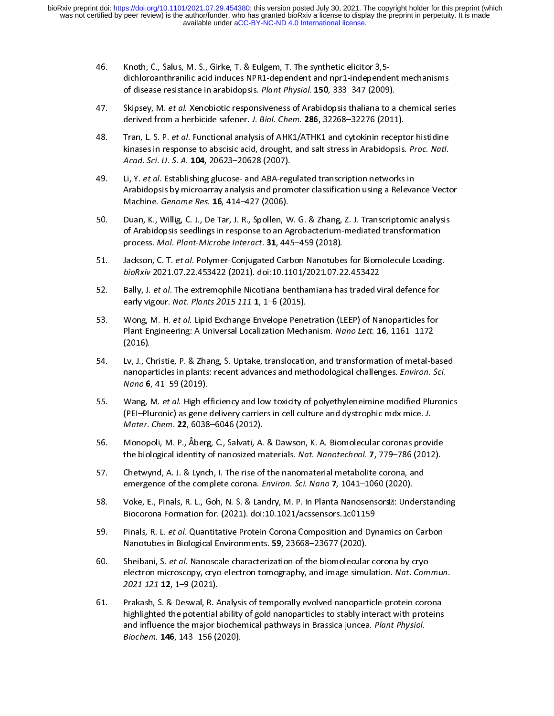- 46. Knoth, C., Salus, M. S., Girke, T. & Eulgem, T. The synthetic elicitor 3,5-<br>dichloroanthranilic acid induces NPR1-dependent and npr1-independent mechanisms<br>of disease resistance in arabidopsis. *Plant Physiol*. **150**,
- Skipsey, M. et al. Xenobiotic responsiveness of Arabidopsis thaliana to a chemical series derived from a herbicide safener. J. Biol. Chem. 286, 32268-32276 (2011).
- 48. Tran, L. S. P. et al. Functional analysis of AHK1/ATHK1 and cytokinin receptor histidine derived from a herbicide safener. J. Biol. Chem. 286, 32268–32276 (2011).<br>Tran, L. S. P. *et al.* Functional analysis of AHK1/ATHK1 and cytokinin recept.<br>kinases in response to abscisic acid, drought, and salt stress in Ar 48. Tran, E. S. P. et al. Functional analysis of AHK1/ATHK1 and cytokinin receptor instrume<br>kinases in response to abscisic acid, drought, and salt stress in Arabidopsis. Proc. Natl.<br>Acad. Sci. U. S. A. 104, 20623–20628 (2 Acad. Sci. U. S. A. 104, 20623–20628 (2007).<br>Li, Y. et al. Establishing glucose- and ABA-regulated transcription networks in
- Acad. Sci. O. S. A. 104, 20023–20028 (2007).<br>Li, Y. *et al.* Establishing glucose- and ABA-reg<br>Arabidopsis by microarray analysis and prom 49. Li, Y. et al. Establishing glucose- and ABA-regulated transcription networks in<br>Arabidopsis by microarray analysis and promoter classification using a Releva<br>Machine. Genome Res. 16, 414–427 (2006). Machine. *Genome Res.* 16, 414–427 (2006).<br>Duan, K., Willig, C. J., De Tar, J. R., Spollen, W. G. & Zhang, Z. J. Transcriptomic analysis
- Machine. Genome Res. 16, 414–427 (2006).<br>Duan, K., Willig, C. J., De Tar, J. R., Spollen, W<br>of Arabidopsis seedlings in response to an A. of Arabidopsis seedlings in response to an Agrobacterium-mediated transformation<br>process. Mol. Plant-Microbe Interact. 31, 445–459 (2018).
- process. Mol. Plant-Microbe Interact. 31, 445–459 (2018).<br>Jackson, C. T. et al. Polymer-Conjugated Carbon Nanotubes for Biomolecule Loading<br>bioRxiv 2021.07.22.452422.(2021). doi:10.1101/2021.07.22.452422. process. Mol. Plant-Microbe Interact. 31, 445–455 (2016).<br>Jackson, C. T. *et al.* Polymer-Conjugated Carbon Nanotube.<br>*bioRxiv* 2021.07.22.453422 (2021). doi:10.1101/2021.07.2.
- Suckson, C. T. et al. Polymer-Conjugated Carbon Nanotubes for Biomolecule Loading.<br>BioRxiv 2021.07.22.453422 (2021). doi:10.1101/2021.07.22.453422<br>52. Bally, J. et al. The extremophile Nicotiana benthamiana has traded vira bional 2021.07.22.453422 (2021). doi:10.1101/2021.07.22.453422<br>Bally, J. *et al.* The extremophile Nicotiana benthamiana has traded v<br>early vigour. *Nat. Plants 2015 111* 1, 1–6 (2015).
- $52.$  Bally, J. et al. The extremophile Nicotiana benthamiana has traded viral defence for<br>early vigour. Nat. Plants 2015 111 1, 1–6 (2015).<br>53. Wong, M. H. et al. Lipid Exchange Envelope Penetration (LEEP) of Nanoparticl early vigour. *Nut. Flams 2015 111* 1, 1–6 (2015).<br>Wong, M. H. *et al*. Lipid Exchange Envelope Pene<br>Plant Engineering: A Universal Localization Mech 53. Wong, M. H. *et al.* Lipid Exchange Envelope Penetration (LEEP) of Nanoparticles fo<br>Plant Engineering: A Universal Localization Mechanism. Nano Lett. **16**, 1161–1172<br>(2016).<br>54. Lv, J., Christie, P. & Zhang, S. Uptake,
- Plant Engineering: A Universal Localization Mechanism. Nano Lett. 16, 1161–1172<br>(2016).<br>Ev, J., Christie, P. & Zhang, S. Uptake, translocation, and transformation of metal-b (2007).<br>Lv, J., Cl<br>Manopa nanoparticles in plants: recent advances and methodological challenges. *Environ. Sci.*<br>Nano 6, 41–59 (2019).<br>55. Wang. M. *et al.* High efficiency and low toxicity of polvethyleneimine modified Pluron
- nanoparticles in plants. recent advances and incendudological challenges. *Environ. Sci.*<br>Nano 6, 41–59 (2019).<br>Wang, M. *et al.* High efficiency and low toxicity of polyethyleneimine modified Pluron. Nano 6, 41–59 (2019).<br>Wang, M. *et al.* High ef<br>(PEI–Pluronic) as gene (PEI–Pluronic) as gene delivery carriers in cell culture and dystrophic mdx mice. *J.*<br>Mater. Chem. **22**, 6038–6046 (2012).<br>56. Monopoli. M. P.. Åberg. C.. Salvati. A. & Dawson. K. A. Biomolecular coronas provi
- (PET–Pluronic) as gene delivery carriers in cell culture and dystrophic mdx mice. J.<br>Mater. Chem. 22, 6038–6046 (2012).<br>the biological identity of panesized materials. Net. Nenoteshool. 7, 779, 786 (2013) Mater. chem. 22, 6038–6046 (2012).<br>Monopoli, M. P., Åberg, C., Salvati, A.<br>the biological identity of nanosized m the biological identity of nanosized materials. Nat. Nanotechnol. 7, 779–786 (2012).<br>57. Chetwynd, A. J. & Lynch, I. The rise of the nanomaterial metabolite corona, and
- emergence of the complete corona. Environ. Sci. Nano 7, 1041–1060 (2020).
- From Franch Press, and The rise of the complete corona. *Environ. Sci. Nano* 7, 1041–1060 (2020).<br>58. Voke, E., Pinals, R. L., Goh, N. S. & Landry, M. P. In Planta Nanosensors**<b>2**: Unders emergence of the complete corona. *Environ. Sci. Nano 1*, 1041–1060 (2020).<br>Voke, E., Pinals, R. L., Goh, N. S. & Landry, M. P. In Planta Nanosensors**<b>21: Und**<br>Biocorona Formation for. (2021). doi:10.1021/acssensors.1c0115
- Biocorona Formation for. (2021). doi:10.1021/acssensors.1c01159<br>59. Pinals, R. L. *et al.* Quantitative Protein Corona Composition and Dynamics on Carbon Biocorona Formation (2022). Monet Corona Composition and Dyre<br>Pinals, R. L. *et al.* Quantitative Protein Corona Composition and Dyre<br>Nanotubes in Biological Environments. 59, 23668–23677 (2020).
- 59. Pinals, R. L. et al. Quantitative Protein Corona Composition and Dynamics on Carbon<br>Nanotubes in Biological Environments. 59, 23668–23677 (2020).<br>60. Sheibani, S. et al. Nanoscale characterization of the biomolecular c Nanotubes in Biological Environments. 59, 23668–23677 (2020).<br>Sheibani, S. *et al.* Nanoscale characterization of the biomolecular<br>electron microscopy, cryo-electron tomography, and image simu 60. Sheibani, S. *et al.* Nanoscale characterization of the biomolecular corona by cryo-<br>electron microscopy, cryo-electron tomography, and image simulation. Nat. Commun.<br>2021 121 12, 1–9 (2021).<br>61. Prakash. S. & Deswal. electron microscopy, cryo-electron tomography, and miage simulation. Nat. Commun.<br>2021 121 12, 1–9 (2021).<br>Prakash, S. & Deswal, R. Analysis of temporally evolved nanoparticle-protein corona
- 2021 121 12, 1–9 (2021).<br>Prakash, S. & Deswal, R. A<br>highlighted the potential highlighted the potential ability of gold nanoparticles to stably interact with proteins<br>and influence the major biochemical pathways in Brassica juncea. *Plant Physiol.*<br>*Biochem.* **146**, 143–156 (2020). and influence the major biochemical pathways in Brassica juncea. Plant Physiol. and influence the major biochemical pathways in Brassica juncea. *Plant Physiol.*<br>Biochem. **146**, 143–156 (2020). Biochem. 146, 143–156 (2020).